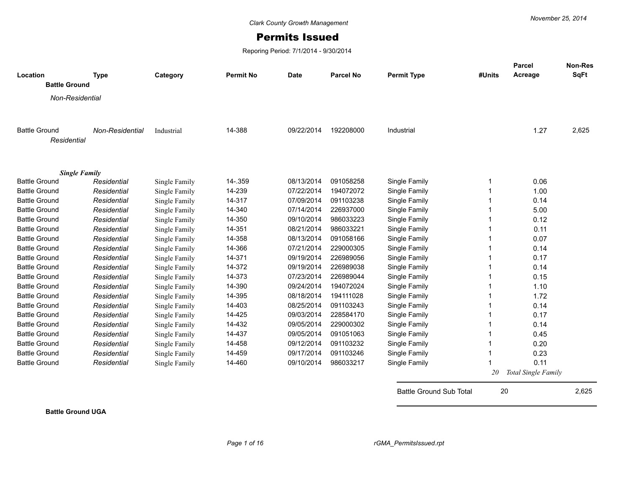## Permits Issued

Reporing Period: 7/1/2014 - 9/30/2014

| Location                            | <b>Type</b>     | Category      | <b>Permit No</b> | <b>Date</b> | <b>Parcel No</b> | <b>Permit Type</b> | #Units | <b>Parcel</b><br>Acreage   | <b>Non-Res</b><br><b>SqFt</b> |
|-------------------------------------|-----------------|---------------|------------------|-------------|------------------|--------------------|--------|----------------------------|-------------------------------|
| <b>Battle Ground</b>                |                 |               |                  |             |                  |                    |        |                            |                               |
| Non-Residential                     |                 |               |                  |             |                  |                    |        |                            |                               |
| <b>Battle Ground</b><br>Residential | Non-Residential | Industrial    | 14-388           | 09/22/2014  | 192208000        | Industrial         |        | 1.27                       | 2,625                         |
| <b>Single Family</b>                |                 |               |                  |             |                  |                    |        |                            |                               |
| <b>Battle Ground</b>                | Residential     | Single Family | 14 - 359         | 08/13/2014  | 091058258        | Single Family      | 1      | 0.06                       |                               |
| <b>Battle Ground</b>                | Residential     | Single Family | 14-239           | 07/22/2014  | 194072072        | Single Family      |        | 1.00                       |                               |
| <b>Battle Ground</b>                | Residential     | Single Family | 14-317           | 07/09/2014  | 091103238        | Single Family      |        | 0.14                       |                               |
| <b>Battle Ground</b>                | Residential     | Single Family | 14-340           | 07/14/2014  | 226937000        | Single Family      |        | 5.00                       |                               |
| <b>Battle Ground</b>                | Residential     | Single Family | 14-350           | 09/10/2014  | 986033223        | Single Family      |        | 0.12                       |                               |
| <b>Battle Ground</b>                | Residential     | Single Family | 14-351           | 08/21/2014  | 986033221        | Single Family      |        | 0.11                       |                               |
| <b>Battle Ground</b>                | Residential     | Single Family | 14-358           | 08/13/2014  | 091058166        | Single Family      |        | 0.07                       |                               |
| <b>Battle Ground</b>                | Residential     | Single Family | 14-366           | 07/21/2014  | 229000305        | Single Family      |        | 0.14                       |                               |
| <b>Battle Ground</b>                | Residential     | Single Family | 14-371           | 09/19/2014  | 226989056        | Single Family      |        | 0.17                       |                               |
| <b>Battle Ground</b>                | Residential     | Single Family | 14-372           | 09/19/2014  | 226989038        | Single Family      |        | 0.14                       |                               |
| <b>Battle Ground</b>                | Residential     | Single Family | 14-373           | 07/23/2014  | 226989044        | Single Family      |        | 0.15                       |                               |
| <b>Battle Ground</b>                | Residential     | Single Family | 14-390           | 09/24/2014  | 194072024        | Single Family      |        | 1.10                       |                               |
| <b>Battle Ground</b>                | Residential     | Single Family | 14-395           | 08/18/2014  | 194111028        | Single Family      |        | 1.72                       |                               |
| <b>Battle Ground</b>                | Residential     | Single Family | 14-403           | 08/25/2014  | 091103243        | Single Family      |        | 0.14                       |                               |
| <b>Battle Ground</b>                | Residential     | Single Family | 14-425           | 09/03/2014  | 228584170        | Single Family      |        | 0.17                       |                               |
| <b>Battle Ground</b>                | Residential     | Single Family | 14-432           | 09/05/2014  | 229000302        | Single Family      |        | 0.14                       |                               |
| <b>Battle Ground</b>                | Residential     | Single Family | 14-437           | 09/05/2014  | 091051063        | Single Family      |        | 0.45                       |                               |
| <b>Battle Ground</b>                | Residential     | Single Family | 14-458           | 09/12/2014  | 091103232        | Single Family      |        | 0.20                       |                               |
| <b>Battle Ground</b>                | Residential     | Single Family | 14-459           | 09/17/2014  | 091103246        | Single Family      | 1      | 0.23                       |                               |
| <b>Battle Ground</b>                | Residential     | Single Family | 14-460           | 09/10/2014  | 986033217        | Single Family      |        | 0.11                       |                               |
|                                     |                 |               |                  |             |                  |                    | 20     | <b>Total Single Family</b> |                               |

**Battle Ground UGA**

Battle Ground Sub Total 20 2,625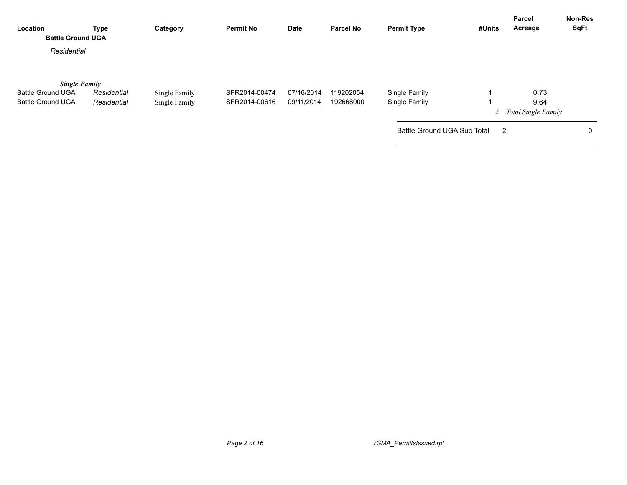| Location<br><b>Battle Ground UGA</b>                                         | Type                       | Category                       | <b>Permit No</b>               | Date                     | <b>Parcel No</b>       | <b>Permit Type</b>             | #Units         | Parcel<br>Acreage                     | <b>Non-Res</b><br><b>SqFt</b> |
|------------------------------------------------------------------------------|----------------------------|--------------------------------|--------------------------------|--------------------------|------------------------|--------------------------------|----------------|---------------------------------------|-------------------------------|
| Residential                                                                  |                            |                                |                                |                          |                        |                                |                |                                       |                               |
| <b>Single Family</b><br><b>Battle Ground UGA</b><br><b>Battle Ground UGA</b> | Residential<br>Residential | Single Family<br>Single Family | SFR2014-00474<br>SFR2014-00616 | 07/16/2014<br>09/11/2014 | 119202054<br>192668000 | Single Family<br>Single Family |                | 0.73<br>9.64<br>2 Total Single Family |                               |
|                                                                              |                            |                                |                                |                          |                        | Battle Ground UGA Sub Total    | $\overline{2}$ |                                       | 0                             |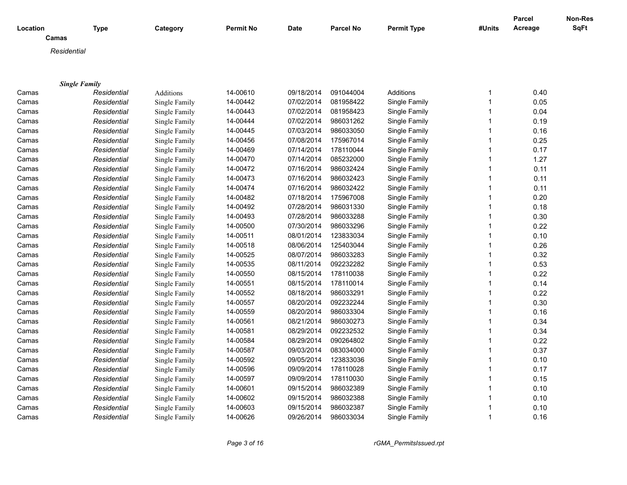| Camas<br>Residential<br><b>Single Family</b><br>14-00610<br>09/18/2014<br>091044004<br>Additions<br>0.40<br>Camas<br>Residential<br>Additions<br>1<br>14-00442<br>07/02/2014<br>081958422<br>Single Family<br>1<br>0.05<br>Residential<br>Single Family<br>Camas<br>14-00443<br>07/02/2014<br>081958423<br>0.04<br>Residential<br>Single Family<br>1<br>Camas<br>Single Family<br>14-00444<br>07/02/2014<br>986031262<br>0.19<br>Residential<br>Single Family<br>Single Family<br>Camas<br>14-00445<br>07/03/2014<br>986033050<br>0.16<br>Single Family<br>Camas<br>Residential<br>Single Family<br>14-00456<br>07/08/2014<br>175967014<br>Single Family<br>0.25<br>Camas<br>Residential<br>Single Family<br>14-00469<br>07/14/2014<br>0.17<br>Residential<br>Single Family<br>178110044<br>Single Family<br>Camas<br>14-00470<br>07/14/2014<br>085232000<br>1.27<br>Residential<br>Single Family<br>Single Family<br>Camas<br>14-00472<br>07/16/2014<br>986032424<br>Single Family<br>0.11<br>Camas<br>Residential<br>Single Family<br>07/16/2014<br>0.11<br>14-00473<br>986032423<br>Single Family<br>Camas<br>Residential<br>Single Family<br>14-00474<br>07/16/2014<br>986032422<br>0.11<br>Camas<br>Residential<br>Single Family<br>Single Family<br>1<br>0.20<br>14-00482<br>07/18/2014<br>175967008<br>Camas<br>Residential<br>Single Family<br>Single Family<br>14-00492<br>07/28/2014<br>986031330<br>Single Family<br>0.18<br>Camas<br>Residential<br>Single Family<br>14-00493<br>07/28/2014<br>986033288<br>0.30<br>Single Family<br>Camas<br>Residential<br>Single Family<br>0.22<br>14-00500<br>07/30/2014<br>986033296<br>Single Family<br>1<br>Camas<br>Residential<br>Single Family<br>0.10<br>14-00511<br>08/01/2014<br>123833034<br>Single Family<br>Camas<br>Residential<br>Single Family<br>$\mathbf 1$<br>14-00518<br>08/06/2014<br>125403044<br>$\mathbf{1}$<br>0.26<br>Residential<br>Single Family<br>Single Family<br>Camas<br>14-00525<br>08/07/2014<br>986033283<br>0.32<br>Residential<br>Single Family<br>Single Family<br>$\mathbf{1}$<br>Camas<br>14-00535<br>08/11/2014<br>092232282<br>0.53<br>Residential<br>Single Family<br>Single Family<br>1<br>Camas<br>14-00550<br>08/15/2014<br>0.22<br>Residential<br>178110038<br>Single Family<br>Camas<br>Single Family<br>1<br>14-00551<br>08/15/2014<br>178110014<br>Single Family<br>0.14<br>Camas<br>Residential<br>Single Family<br>1<br>14-00552<br>08/18/2014<br>986033291<br>0.22<br>Single Family<br>Camas<br>Residential<br>Single Family<br>14-00557<br>08/20/2014<br>092232244<br>0.30<br>Single Family<br>Residential<br>Single Family<br>Camas<br>14-00559<br>08/20/2014<br>986033304<br>0.16<br>Single Family<br>Residential<br>Single Family<br>Camas<br>08/21/2014<br>0.34<br>14-00561<br>986030273<br>Single Family<br>Camas<br>Residential<br>Single Family<br>0.34<br>14-00581<br>08/29/2014<br>092232532<br>$\mathbf{1}$<br>Residential<br>Single Family<br>Single Family<br>Camas<br>0.22<br>14-00584<br>08/29/2014<br>090264802<br>Residential<br>Single Family<br>Single Family<br>Camas<br>14-00587<br>09/03/2014<br>083034000<br>Single Family<br>1<br>0.37<br>Camas<br>Residential<br>Single Family<br>14-00592<br>09/05/2014<br>123833036<br>0.10<br>Single Family<br>Camas<br>Residential<br>Single Family<br>0.17<br>Residential<br>Single Family<br>14-00596<br>09/09/2014<br>178110028<br>Single Family<br>Camas<br>14-00597<br>09/09/2014<br>0.15<br>Residential<br>Single Family<br>178110030<br>Single Family<br>Camas<br>14-00601<br>0.10<br>Residential<br>Single Family<br>09/15/2014<br>986032389<br>Single Family<br>Camas<br>0.10<br>Residential<br>Single Family<br>14-00602<br>09/15/2014<br>986032388<br>Single Family<br>Camas<br>0.10<br>Residential<br>Single Family<br>14-00603<br>09/15/2014<br>986032387<br>Single Family<br>Camas<br>$\mathbf{1}$ | Location | <b>Type</b> | Category      | <b>Permit No</b> | Date       | <b>Parcel No</b> | <b>Permit Type</b> | #Units | Parcel<br>Acreage | Non-Res<br>SqFt |
|------------------------------------------------------------------------------------------------------------------------------------------------------------------------------------------------------------------------------------------------------------------------------------------------------------------------------------------------------------------------------------------------------------------------------------------------------------------------------------------------------------------------------------------------------------------------------------------------------------------------------------------------------------------------------------------------------------------------------------------------------------------------------------------------------------------------------------------------------------------------------------------------------------------------------------------------------------------------------------------------------------------------------------------------------------------------------------------------------------------------------------------------------------------------------------------------------------------------------------------------------------------------------------------------------------------------------------------------------------------------------------------------------------------------------------------------------------------------------------------------------------------------------------------------------------------------------------------------------------------------------------------------------------------------------------------------------------------------------------------------------------------------------------------------------------------------------------------------------------------------------------------------------------------------------------------------------------------------------------------------------------------------------------------------------------------------------------------------------------------------------------------------------------------------------------------------------------------------------------------------------------------------------------------------------------------------------------------------------------------------------------------------------------------------------------------------------------------------------------------------------------------------------------------------------------------------------------------------------------------------------------------------------------------------------------------------------------------------------------------------------------------------------------------------------------------------------------------------------------------------------------------------------------------------------------------------------------------------------------------------------------------------------------------------------------------------------------------------------------------------------------------------------------------------------------------------------------------------------------------------------------------------------------------------------------------------------------------------------------------------------------------------------------------------------------------------------------------------------------------------------------------------------------------------------------------------------------------------------------------------------------------------------------------------------------------------------------------------------------------------------------------------------------------------------------------------------------------------------------------------------------|----------|-------------|---------------|------------------|------------|------------------|--------------------|--------|-------------------|-----------------|
|                                                                                                                                                                                                                                                                                                                                                                                                                                                                                                                                                                                                                                                                                                                                                                                                                                                                                                                                                                                                                                                                                                                                                                                                                                                                                                                                                                                                                                                                                                                                                                                                                                                                                                                                                                                                                                                                                                                                                                                                                                                                                                                                                                                                                                                                                                                                                                                                                                                                                                                                                                                                                                                                                                                                                                                                                                                                                                                                                                                                                                                                                                                                                                                                                                                                                                                                                                                                                                                                                                                                                                                                                                                                                                                                                                                                                                                                                    |          |             |               |                  |            |                  |                    |        |                   |                 |
|                                                                                                                                                                                                                                                                                                                                                                                                                                                                                                                                                                                                                                                                                                                                                                                                                                                                                                                                                                                                                                                                                                                                                                                                                                                                                                                                                                                                                                                                                                                                                                                                                                                                                                                                                                                                                                                                                                                                                                                                                                                                                                                                                                                                                                                                                                                                                                                                                                                                                                                                                                                                                                                                                                                                                                                                                                                                                                                                                                                                                                                                                                                                                                                                                                                                                                                                                                                                                                                                                                                                                                                                                                                                                                                                                                                                                                                                                    |          |             |               |                  |            |                  |                    |        |                   |                 |
|                                                                                                                                                                                                                                                                                                                                                                                                                                                                                                                                                                                                                                                                                                                                                                                                                                                                                                                                                                                                                                                                                                                                                                                                                                                                                                                                                                                                                                                                                                                                                                                                                                                                                                                                                                                                                                                                                                                                                                                                                                                                                                                                                                                                                                                                                                                                                                                                                                                                                                                                                                                                                                                                                                                                                                                                                                                                                                                                                                                                                                                                                                                                                                                                                                                                                                                                                                                                                                                                                                                                                                                                                                                                                                                                                                                                                                                                                    |          |             |               |                  |            |                  |                    |        |                   |                 |
|                                                                                                                                                                                                                                                                                                                                                                                                                                                                                                                                                                                                                                                                                                                                                                                                                                                                                                                                                                                                                                                                                                                                                                                                                                                                                                                                                                                                                                                                                                                                                                                                                                                                                                                                                                                                                                                                                                                                                                                                                                                                                                                                                                                                                                                                                                                                                                                                                                                                                                                                                                                                                                                                                                                                                                                                                                                                                                                                                                                                                                                                                                                                                                                                                                                                                                                                                                                                                                                                                                                                                                                                                                                                                                                                                                                                                                                                                    |          |             |               |                  |            |                  |                    |        |                   |                 |
|                                                                                                                                                                                                                                                                                                                                                                                                                                                                                                                                                                                                                                                                                                                                                                                                                                                                                                                                                                                                                                                                                                                                                                                                                                                                                                                                                                                                                                                                                                                                                                                                                                                                                                                                                                                                                                                                                                                                                                                                                                                                                                                                                                                                                                                                                                                                                                                                                                                                                                                                                                                                                                                                                                                                                                                                                                                                                                                                                                                                                                                                                                                                                                                                                                                                                                                                                                                                                                                                                                                                                                                                                                                                                                                                                                                                                                                                                    |          |             |               |                  |            |                  |                    |        |                   |                 |
|                                                                                                                                                                                                                                                                                                                                                                                                                                                                                                                                                                                                                                                                                                                                                                                                                                                                                                                                                                                                                                                                                                                                                                                                                                                                                                                                                                                                                                                                                                                                                                                                                                                                                                                                                                                                                                                                                                                                                                                                                                                                                                                                                                                                                                                                                                                                                                                                                                                                                                                                                                                                                                                                                                                                                                                                                                                                                                                                                                                                                                                                                                                                                                                                                                                                                                                                                                                                                                                                                                                                                                                                                                                                                                                                                                                                                                                                                    |          |             |               |                  |            |                  |                    |        |                   |                 |
|                                                                                                                                                                                                                                                                                                                                                                                                                                                                                                                                                                                                                                                                                                                                                                                                                                                                                                                                                                                                                                                                                                                                                                                                                                                                                                                                                                                                                                                                                                                                                                                                                                                                                                                                                                                                                                                                                                                                                                                                                                                                                                                                                                                                                                                                                                                                                                                                                                                                                                                                                                                                                                                                                                                                                                                                                                                                                                                                                                                                                                                                                                                                                                                                                                                                                                                                                                                                                                                                                                                                                                                                                                                                                                                                                                                                                                                                                    |          |             |               |                  |            |                  |                    |        |                   |                 |
|                                                                                                                                                                                                                                                                                                                                                                                                                                                                                                                                                                                                                                                                                                                                                                                                                                                                                                                                                                                                                                                                                                                                                                                                                                                                                                                                                                                                                                                                                                                                                                                                                                                                                                                                                                                                                                                                                                                                                                                                                                                                                                                                                                                                                                                                                                                                                                                                                                                                                                                                                                                                                                                                                                                                                                                                                                                                                                                                                                                                                                                                                                                                                                                                                                                                                                                                                                                                                                                                                                                                                                                                                                                                                                                                                                                                                                                                                    |          |             |               |                  |            |                  |                    |        |                   |                 |
|                                                                                                                                                                                                                                                                                                                                                                                                                                                                                                                                                                                                                                                                                                                                                                                                                                                                                                                                                                                                                                                                                                                                                                                                                                                                                                                                                                                                                                                                                                                                                                                                                                                                                                                                                                                                                                                                                                                                                                                                                                                                                                                                                                                                                                                                                                                                                                                                                                                                                                                                                                                                                                                                                                                                                                                                                                                                                                                                                                                                                                                                                                                                                                                                                                                                                                                                                                                                                                                                                                                                                                                                                                                                                                                                                                                                                                                                                    |          |             |               |                  |            |                  |                    |        |                   |                 |
|                                                                                                                                                                                                                                                                                                                                                                                                                                                                                                                                                                                                                                                                                                                                                                                                                                                                                                                                                                                                                                                                                                                                                                                                                                                                                                                                                                                                                                                                                                                                                                                                                                                                                                                                                                                                                                                                                                                                                                                                                                                                                                                                                                                                                                                                                                                                                                                                                                                                                                                                                                                                                                                                                                                                                                                                                                                                                                                                                                                                                                                                                                                                                                                                                                                                                                                                                                                                                                                                                                                                                                                                                                                                                                                                                                                                                                                                                    |          |             |               |                  |            |                  |                    |        |                   |                 |
|                                                                                                                                                                                                                                                                                                                                                                                                                                                                                                                                                                                                                                                                                                                                                                                                                                                                                                                                                                                                                                                                                                                                                                                                                                                                                                                                                                                                                                                                                                                                                                                                                                                                                                                                                                                                                                                                                                                                                                                                                                                                                                                                                                                                                                                                                                                                                                                                                                                                                                                                                                                                                                                                                                                                                                                                                                                                                                                                                                                                                                                                                                                                                                                                                                                                                                                                                                                                                                                                                                                                                                                                                                                                                                                                                                                                                                                                                    |          |             |               |                  |            |                  |                    |        |                   |                 |
|                                                                                                                                                                                                                                                                                                                                                                                                                                                                                                                                                                                                                                                                                                                                                                                                                                                                                                                                                                                                                                                                                                                                                                                                                                                                                                                                                                                                                                                                                                                                                                                                                                                                                                                                                                                                                                                                                                                                                                                                                                                                                                                                                                                                                                                                                                                                                                                                                                                                                                                                                                                                                                                                                                                                                                                                                                                                                                                                                                                                                                                                                                                                                                                                                                                                                                                                                                                                                                                                                                                                                                                                                                                                                                                                                                                                                                                                                    |          |             |               |                  |            |                  |                    |        |                   |                 |
|                                                                                                                                                                                                                                                                                                                                                                                                                                                                                                                                                                                                                                                                                                                                                                                                                                                                                                                                                                                                                                                                                                                                                                                                                                                                                                                                                                                                                                                                                                                                                                                                                                                                                                                                                                                                                                                                                                                                                                                                                                                                                                                                                                                                                                                                                                                                                                                                                                                                                                                                                                                                                                                                                                                                                                                                                                                                                                                                                                                                                                                                                                                                                                                                                                                                                                                                                                                                                                                                                                                                                                                                                                                                                                                                                                                                                                                                                    |          |             |               |                  |            |                  |                    |        |                   |                 |
|                                                                                                                                                                                                                                                                                                                                                                                                                                                                                                                                                                                                                                                                                                                                                                                                                                                                                                                                                                                                                                                                                                                                                                                                                                                                                                                                                                                                                                                                                                                                                                                                                                                                                                                                                                                                                                                                                                                                                                                                                                                                                                                                                                                                                                                                                                                                                                                                                                                                                                                                                                                                                                                                                                                                                                                                                                                                                                                                                                                                                                                                                                                                                                                                                                                                                                                                                                                                                                                                                                                                                                                                                                                                                                                                                                                                                                                                                    |          |             |               |                  |            |                  |                    |        |                   |                 |
|                                                                                                                                                                                                                                                                                                                                                                                                                                                                                                                                                                                                                                                                                                                                                                                                                                                                                                                                                                                                                                                                                                                                                                                                                                                                                                                                                                                                                                                                                                                                                                                                                                                                                                                                                                                                                                                                                                                                                                                                                                                                                                                                                                                                                                                                                                                                                                                                                                                                                                                                                                                                                                                                                                                                                                                                                                                                                                                                                                                                                                                                                                                                                                                                                                                                                                                                                                                                                                                                                                                                                                                                                                                                                                                                                                                                                                                                                    |          |             |               |                  |            |                  |                    |        |                   |                 |
|                                                                                                                                                                                                                                                                                                                                                                                                                                                                                                                                                                                                                                                                                                                                                                                                                                                                                                                                                                                                                                                                                                                                                                                                                                                                                                                                                                                                                                                                                                                                                                                                                                                                                                                                                                                                                                                                                                                                                                                                                                                                                                                                                                                                                                                                                                                                                                                                                                                                                                                                                                                                                                                                                                                                                                                                                                                                                                                                                                                                                                                                                                                                                                                                                                                                                                                                                                                                                                                                                                                                                                                                                                                                                                                                                                                                                                                                                    |          |             |               |                  |            |                  |                    |        |                   |                 |
|                                                                                                                                                                                                                                                                                                                                                                                                                                                                                                                                                                                                                                                                                                                                                                                                                                                                                                                                                                                                                                                                                                                                                                                                                                                                                                                                                                                                                                                                                                                                                                                                                                                                                                                                                                                                                                                                                                                                                                                                                                                                                                                                                                                                                                                                                                                                                                                                                                                                                                                                                                                                                                                                                                                                                                                                                                                                                                                                                                                                                                                                                                                                                                                                                                                                                                                                                                                                                                                                                                                                                                                                                                                                                                                                                                                                                                                                                    |          |             |               |                  |            |                  |                    |        |                   |                 |
|                                                                                                                                                                                                                                                                                                                                                                                                                                                                                                                                                                                                                                                                                                                                                                                                                                                                                                                                                                                                                                                                                                                                                                                                                                                                                                                                                                                                                                                                                                                                                                                                                                                                                                                                                                                                                                                                                                                                                                                                                                                                                                                                                                                                                                                                                                                                                                                                                                                                                                                                                                                                                                                                                                                                                                                                                                                                                                                                                                                                                                                                                                                                                                                                                                                                                                                                                                                                                                                                                                                                                                                                                                                                                                                                                                                                                                                                                    |          |             |               |                  |            |                  |                    |        |                   |                 |
|                                                                                                                                                                                                                                                                                                                                                                                                                                                                                                                                                                                                                                                                                                                                                                                                                                                                                                                                                                                                                                                                                                                                                                                                                                                                                                                                                                                                                                                                                                                                                                                                                                                                                                                                                                                                                                                                                                                                                                                                                                                                                                                                                                                                                                                                                                                                                                                                                                                                                                                                                                                                                                                                                                                                                                                                                                                                                                                                                                                                                                                                                                                                                                                                                                                                                                                                                                                                                                                                                                                                                                                                                                                                                                                                                                                                                                                                                    |          |             |               |                  |            |                  |                    |        |                   |                 |
|                                                                                                                                                                                                                                                                                                                                                                                                                                                                                                                                                                                                                                                                                                                                                                                                                                                                                                                                                                                                                                                                                                                                                                                                                                                                                                                                                                                                                                                                                                                                                                                                                                                                                                                                                                                                                                                                                                                                                                                                                                                                                                                                                                                                                                                                                                                                                                                                                                                                                                                                                                                                                                                                                                                                                                                                                                                                                                                                                                                                                                                                                                                                                                                                                                                                                                                                                                                                                                                                                                                                                                                                                                                                                                                                                                                                                                                                                    |          |             |               |                  |            |                  |                    |        |                   |                 |
|                                                                                                                                                                                                                                                                                                                                                                                                                                                                                                                                                                                                                                                                                                                                                                                                                                                                                                                                                                                                                                                                                                                                                                                                                                                                                                                                                                                                                                                                                                                                                                                                                                                                                                                                                                                                                                                                                                                                                                                                                                                                                                                                                                                                                                                                                                                                                                                                                                                                                                                                                                                                                                                                                                                                                                                                                                                                                                                                                                                                                                                                                                                                                                                                                                                                                                                                                                                                                                                                                                                                                                                                                                                                                                                                                                                                                                                                                    |          |             |               |                  |            |                  |                    |        |                   |                 |
|                                                                                                                                                                                                                                                                                                                                                                                                                                                                                                                                                                                                                                                                                                                                                                                                                                                                                                                                                                                                                                                                                                                                                                                                                                                                                                                                                                                                                                                                                                                                                                                                                                                                                                                                                                                                                                                                                                                                                                                                                                                                                                                                                                                                                                                                                                                                                                                                                                                                                                                                                                                                                                                                                                                                                                                                                                                                                                                                                                                                                                                                                                                                                                                                                                                                                                                                                                                                                                                                                                                                                                                                                                                                                                                                                                                                                                                                                    |          |             |               |                  |            |                  |                    |        |                   |                 |
|                                                                                                                                                                                                                                                                                                                                                                                                                                                                                                                                                                                                                                                                                                                                                                                                                                                                                                                                                                                                                                                                                                                                                                                                                                                                                                                                                                                                                                                                                                                                                                                                                                                                                                                                                                                                                                                                                                                                                                                                                                                                                                                                                                                                                                                                                                                                                                                                                                                                                                                                                                                                                                                                                                                                                                                                                                                                                                                                                                                                                                                                                                                                                                                                                                                                                                                                                                                                                                                                                                                                                                                                                                                                                                                                                                                                                                                                                    |          |             |               |                  |            |                  |                    |        |                   |                 |
|                                                                                                                                                                                                                                                                                                                                                                                                                                                                                                                                                                                                                                                                                                                                                                                                                                                                                                                                                                                                                                                                                                                                                                                                                                                                                                                                                                                                                                                                                                                                                                                                                                                                                                                                                                                                                                                                                                                                                                                                                                                                                                                                                                                                                                                                                                                                                                                                                                                                                                                                                                                                                                                                                                                                                                                                                                                                                                                                                                                                                                                                                                                                                                                                                                                                                                                                                                                                                                                                                                                                                                                                                                                                                                                                                                                                                                                                                    |          |             |               |                  |            |                  |                    |        |                   |                 |
|                                                                                                                                                                                                                                                                                                                                                                                                                                                                                                                                                                                                                                                                                                                                                                                                                                                                                                                                                                                                                                                                                                                                                                                                                                                                                                                                                                                                                                                                                                                                                                                                                                                                                                                                                                                                                                                                                                                                                                                                                                                                                                                                                                                                                                                                                                                                                                                                                                                                                                                                                                                                                                                                                                                                                                                                                                                                                                                                                                                                                                                                                                                                                                                                                                                                                                                                                                                                                                                                                                                                                                                                                                                                                                                                                                                                                                                                                    |          |             |               |                  |            |                  |                    |        |                   |                 |
|                                                                                                                                                                                                                                                                                                                                                                                                                                                                                                                                                                                                                                                                                                                                                                                                                                                                                                                                                                                                                                                                                                                                                                                                                                                                                                                                                                                                                                                                                                                                                                                                                                                                                                                                                                                                                                                                                                                                                                                                                                                                                                                                                                                                                                                                                                                                                                                                                                                                                                                                                                                                                                                                                                                                                                                                                                                                                                                                                                                                                                                                                                                                                                                                                                                                                                                                                                                                                                                                                                                                                                                                                                                                                                                                                                                                                                                                                    |          |             |               |                  |            |                  |                    |        |                   |                 |
|                                                                                                                                                                                                                                                                                                                                                                                                                                                                                                                                                                                                                                                                                                                                                                                                                                                                                                                                                                                                                                                                                                                                                                                                                                                                                                                                                                                                                                                                                                                                                                                                                                                                                                                                                                                                                                                                                                                                                                                                                                                                                                                                                                                                                                                                                                                                                                                                                                                                                                                                                                                                                                                                                                                                                                                                                                                                                                                                                                                                                                                                                                                                                                                                                                                                                                                                                                                                                                                                                                                                                                                                                                                                                                                                                                                                                                                                                    |          |             |               |                  |            |                  |                    |        |                   |                 |
|                                                                                                                                                                                                                                                                                                                                                                                                                                                                                                                                                                                                                                                                                                                                                                                                                                                                                                                                                                                                                                                                                                                                                                                                                                                                                                                                                                                                                                                                                                                                                                                                                                                                                                                                                                                                                                                                                                                                                                                                                                                                                                                                                                                                                                                                                                                                                                                                                                                                                                                                                                                                                                                                                                                                                                                                                                                                                                                                                                                                                                                                                                                                                                                                                                                                                                                                                                                                                                                                                                                                                                                                                                                                                                                                                                                                                                                                                    |          |             |               |                  |            |                  |                    |        |                   |                 |
|                                                                                                                                                                                                                                                                                                                                                                                                                                                                                                                                                                                                                                                                                                                                                                                                                                                                                                                                                                                                                                                                                                                                                                                                                                                                                                                                                                                                                                                                                                                                                                                                                                                                                                                                                                                                                                                                                                                                                                                                                                                                                                                                                                                                                                                                                                                                                                                                                                                                                                                                                                                                                                                                                                                                                                                                                                                                                                                                                                                                                                                                                                                                                                                                                                                                                                                                                                                                                                                                                                                                                                                                                                                                                                                                                                                                                                                                                    |          |             |               |                  |            |                  |                    |        |                   |                 |
|                                                                                                                                                                                                                                                                                                                                                                                                                                                                                                                                                                                                                                                                                                                                                                                                                                                                                                                                                                                                                                                                                                                                                                                                                                                                                                                                                                                                                                                                                                                                                                                                                                                                                                                                                                                                                                                                                                                                                                                                                                                                                                                                                                                                                                                                                                                                                                                                                                                                                                                                                                                                                                                                                                                                                                                                                                                                                                                                                                                                                                                                                                                                                                                                                                                                                                                                                                                                                                                                                                                                                                                                                                                                                                                                                                                                                                                                                    |          |             |               |                  |            |                  |                    |        |                   |                 |
|                                                                                                                                                                                                                                                                                                                                                                                                                                                                                                                                                                                                                                                                                                                                                                                                                                                                                                                                                                                                                                                                                                                                                                                                                                                                                                                                                                                                                                                                                                                                                                                                                                                                                                                                                                                                                                                                                                                                                                                                                                                                                                                                                                                                                                                                                                                                                                                                                                                                                                                                                                                                                                                                                                                                                                                                                                                                                                                                                                                                                                                                                                                                                                                                                                                                                                                                                                                                                                                                                                                                                                                                                                                                                                                                                                                                                                                                                    |          |             |               |                  |            |                  |                    |        |                   |                 |
|                                                                                                                                                                                                                                                                                                                                                                                                                                                                                                                                                                                                                                                                                                                                                                                                                                                                                                                                                                                                                                                                                                                                                                                                                                                                                                                                                                                                                                                                                                                                                                                                                                                                                                                                                                                                                                                                                                                                                                                                                                                                                                                                                                                                                                                                                                                                                                                                                                                                                                                                                                                                                                                                                                                                                                                                                                                                                                                                                                                                                                                                                                                                                                                                                                                                                                                                                                                                                                                                                                                                                                                                                                                                                                                                                                                                                                                                                    |          |             |               |                  |            |                  |                    |        |                   |                 |
|                                                                                                                                                                                                                                                                                                                                                                                                                                                                                                                                                                                                                                                                                                                                                                                                                                                                                                                                                                                                                                                                                                                                                                                                                                                                                                                                                                                                                                                                                                                                                                                                                                                                                                                                                                                                                                                                                                                                                                                                                                                                                                                                                                                                                                                                                                                                                                                                                                                                                                                                                                                                                                                                                                                                                                                                                                                                                                                                                                                                                                                                                                                                                                                                                                                                                                                                                                                                                                                                                                                                                                                                                                                                                                                                                                                                                                                                                    |          |             |               |                  |            |                  |                    |        |                   |                 |
|                                                                                                                                                                                                                                                                                                                                                                                                                                                                                                                                                                                                                                                                                                                                                                                                                                                                                                                                                                                                                                                                                                                                                                                                                                                                                                                                                                                                                                                                                                                                                                                                                                                                                                                                                                                                                                                                                                                                                                                                                                                                                                                                                                                                                                                                                                                                                                                                                                                                                                                                                                                                                                                                                                                                                                                                                                                                                                                                                                                                                                                                                                                                                                                                                                                                                                                                                                                                                                                                                                                                                                                                                                                                                                                                                                                                                                                                                    |          |             |               |                  |            |                  |                    |        |                   |                 |
|                                                                                                                                                                                                                                                                                                                                                                                                                                                                                                                                                                                                                                                                                                                                                                                                                                                                                                                                                                                                                                                                                                                                                                                                                                                                                                                                                                                                                                                                                                                                                                                                                                                                                                                                                                                                                                                                                                                                                                                                                                                                                                                                                                                                                                                                                                                                                                                                                                                                                                                                                                                                                                                                                                                                                                                                                                                                                                                                                                                                                                                                                                                                                                                                                                                                                                                                                                                                                                                                                                                                                                                                                                                                                                                                                                                                                                                                                    |          |             |               |                  |            |                  |                    |        |                   |                 |
|                                                                                                                                                                                                                                                                                                                                                                                                                                                                                                                                                                                                                                                                                                                                                                                                                                                                                                                                                                                                                                                                                                                                                                                                                                                                                                                                                                                                                                                                                                                                                                                                                                                                                                                                                                                                                                                                                                                                                                                                                                                                                                                                                                                                                                                                                                                                                                                                                                                                                                                                                                                                                                                                                                                                                                                                                                                                                                                                                                                                                                                                                                                                                                                                                                                                                                                                                                                                                                                                                                                                                                                                                                                                                                                                                                                                                                                                                    |          |             |               |                  |            |                  |                    |        |                   |                 |
|                                                                                                                                                                                                                                                                                                                                                                                                                                                                                                                                                                                                                                                                                                                                                                                                                                                                                                                                                                                                                                                                                                                                                                                                                                                                                                                                                                                                                                                                                                                                                                                                                                                                                                                                                                                                                                                                                                                                                                                                                                                                                                                                                                                                                                                                                                                                                                                                                                                                                                                                                                                                                                                                                                                                                                                                                                                                                                                                                                                                                                                                                                                                                                                                                                                                                                                                                                                                                                                                                                                                                                                                                                                                                                                                                                                                                                                                                    |          |             |               |                  |            |                  |                    |        |                   |                 |
|                                                                                                                                                                                                                                                                                                                                                                                                                                                                                                                                                                                                                                                                                                                                                                                                                                                                                                                                                                                                                                                                                                                                                                                                                                                                                                                                                                                                                                                                                                                                                                                                                                                                                                                                                                                                                                                                                                                                                                                                                                                                                                                                                                                                                                                                                                                                                                                                                                                                                                                                                                                                                                                                                                                                                                                                                                                                                                                                                                                                                                                                                                                                                                                                                                                                                                                                                                                                                                                                                                                                                                                                                                                                                                                                                                                                                                                                                    |          |             |               |                  |            |                  |                    |        |                   |                 |
|                                                                                                                                                                                                                                                                                                                                                                                                                                                                                                                                                                                                                                                                                                                                                                                                                                                                                                                                                                                                                                                                                                                                                                                                                                                                                                                                                                                                                                                                                                                                                                                                                                                                                                                                                                                                                                                                                                                                                                                                                                                                                                                                                                                                                                                                                                                                                                                                                                                                                                                                                                                                                                                                                                                                                                                                                                                                                                                                                                                                                                                                                                                                                                                                                                                                                                                                                                                                                                                                                                                                                                                                                                                                                                                                                                                                                                                                                    |          |             |               |                  |            |                  |                    |        |                   |                 |
|                                                                                                                                                                                                                                                                                                                                                                                                                                                                                                                                                                                                                                                                                                                                                                                                                                                                                                                                                                                                                                                                                                                                                                                                                                                                                                                                                                                                                                                                                                                                                                                                                                                                                                                                                                                                                                                                                                                                                                                                                                                                                                                                                                                                                                                                                                                                                                                                                                                                                                                                                                                                                                                                                                                                                                                                                                                                                                                                                                                                                                                                                                                                                                                                                                                                                                                                                                                                                                                                                                                                                                                                                                                                                                                                                                                                                                                                                    | Camas    | Residential | Single Family | 14-00626         | 09/26/2014 | 986033034        | Single Family      |        | 0.16              |                 |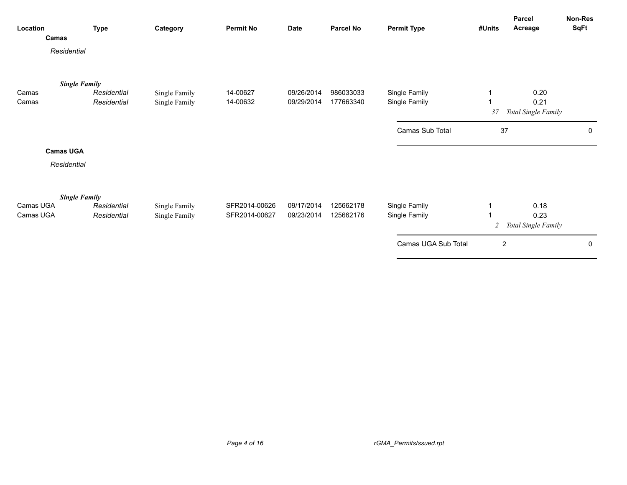| Location       | Camas                | <b>Type</b>                | Category                       | <b>Permit No</b>     | <b>Date</b>              | <b>Parcel No</b>       | <b>Permit Type</b>             | #Units           | Parcel<br>Acreage                   | <b>Non-Res</b><br>SqFt |
|----------------|----------------------|----------------------------|--------------------------------|----------------------|--------------------------|------------------------|--------------------------------|------------------|-------------------------------------|------------------------|
|                | Residential          |                            |                                |                      |                          |                        |                                |                  |                                     |                        |
|                | <b>Single Family</b> |                            |                                |                      |                          |                        |                                |                  |                                     |                        |
| Camas<br>Camas |                      | Residential<br>Residential | Single Family<br>Single Family | 14-00627<br>14-00632 | 09/26/2014<br>09/29/2014 | 986033033<br>177663340 | Single Family<br>Single Family | 37               | 0.20<br>0.21<br>Total Single Family |                        |
|                |                      |                            |                                |                      |                          |                        | Camas Sub Total                | 37               |                                     | 0                      |
|                | <b>Camas UGA</b>     |                            |                                |                      |                          |                        |                                |                  |                                     |                        |
|                | Residential          |                            |                                |                      |                          |                        |                                |                  |                                     |                        |
|                | <b>Single Family</b> |                            |                                |                      |                          |                        |                                |                  |                                     |                        |
| Camas UGA      |                      | Residential                | Single Family                  | SFR2014-00626        | 09/17/2014               | 125662178              | Single Family                  | 1                | 0.18                                |                        |
| Camas UGA      |                      | Residential                | Single Family                  | SFR2014-00627        | 09/23/2014               | 125662176              | Single Family                  | 2                | 0.23<br>Total Single Family         |                        |
|                |                      |                            |                                |                      |                          |                        | Camas UGA Sub Total            | $\boldsymbol{2}$ |                                     | 0                      |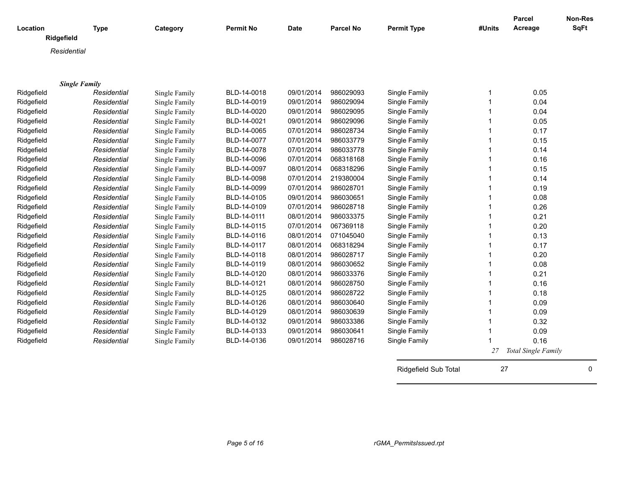|                        |             |               |                  |             |                  |                    |             | <b>Parcel</b>       | Non-Res     |
|------------------------|-------------|---------------|------------------|-------------|------------------|--------------------|-------------|---------------------|-------------|
| Location<br>Ridgefield | <b>Type</b> | Category      | <b>Permit No</b> | <b>Date</b> | <b>Parcel No</b> | <b>Permit Type</b> | #Units      | Acreage             | <b>SqFt</b> |
|                        |             |               |                  |             |                  |                    |             |                     |             |
| Residential            |             |               |                  |             |                  |                    |             |                     |             |
|                        |             |               |                  |             |                  |                    |             |                     |             |
|                        |             |               |                  |             |                  |                    |             |                     |             |
| <b>Single Family</b>   |             |               |                  |             |                  |                    |             |                     |             |
| Ridgefield             | Residential | Single Family | BLD-14-0018      | 09/01/2014  | 986029093        | Single Family      | 1           | 0.05                |             |
| Ridgefield             | Residential | Single Family | BLD-14-0019      | 09/01/2014  | 986029094        | Single Family      | $\mathbf 1$ | 0.04                |             |
| Ridgefield             | Residential | Single Family | BLD-14-0020      | 09/01/2014  | 986029095        | Single Family      | 1           | 0.04                |             |
| Ridgefield             | Residential | Single Family | BLD-14-0021      | 09/01/2014  | 986029096        | Single Family      |             | 0.05                |             |
| Ridgefield             | Residential | Single Family | BLD-14-0065      | 07/01/2014  | 986028734        | Single Family      |             | 0.17                |             |
| Ridgefield             | Residential | Single Family | BLD-14-0077      | 07/01/2014  | 986033779        | Single Family      |             | 0.15                |             |
| Ridgefield             | Residential | Single Family | BLD-14-0078      | 07/01/2014  | 986033778        | Single Family      |             | 0.14                |             |
| Ridgefield             | Residential | Single Family | BLD-14-0096      | 07/01/2014  | 068318168        | Single Family      |             | 0.16                |             |
| Ridgefield             | Residential | Single Family | BLD-14-0097      | 08/01/2014  | 068318296        | Single Family      |             | 0.15                |             |
| Ridgefield             | Residential | Single Family | BLD-14-0098      | 07/01/2014  | 219380004        | Single Family      |             | 0.14                |             |
| Ridgefield             | Residential | Single Family | BLD-14-0099      | 07/01/2014  | 986028701        | Single Family      | 1           | 0.19                |             |
| Ridgefield             | Residential | Single Family | BLD-14-0105      | 09/01/2014  | 986030651        | Single Family      | 1           | 0.08                |             |
| Ridgefield             | Residential | Single Family | BLD-14-0109      | 07/01/2014  | 986028718        | Single Family      |             | 0.26                |             |
| Ridgefield             | Residential | Single Family | BLD-14-0111      | 08/01/2014  | 986033375        | Single Family      |             | 0.21                |             |
| Ridgefield             | Residential | Single Family | BLD-14-0115      | 07/01/2014  | 067369118        | Single Family      | 1           | 0.20                |             |
| Ridgefield             | Residential | Single Family | BLD-14-0116      | 08/01/2014  | 071045040        | Single Family      | 1           | 0.13                |             |
| Ridgefield             | Residential | Single Family | BLD-14-0117      | 08/01/2014  | 068318294        | Single Family      | 1           | 0.17                |             |
| Ridgefield             | Residential | Single Family | BLD-14-0118      | 08/01/2014  | 986028717        | Single Family      |             | 0.20                |             |
| Ridgefield             | Residential | Single Family | BLD-14-0119      | 08/01/2014  | 986030652        | Single Family      |             | 0.08                |             |
| Ridgefield             | Residential | Single Family | BLD-14-0120      | 08/01/2014  | 986033376        | Single Family      |             | 0.21                |             |
| Ridgefield             | Residential | Single Family | BLD-14-0121      | 08/01/2014  | 986028750        | Single Family      |             | 0.16                |             |
| Ridgefield             | Residential | Single Family | BLD-14-0125      | 08/01/2014  | 986028722        | Single Family      |             | 0.18                |             |
| Ridgefield             | Residential | Single Family | BLD-14-0126      | 08/01/2014  | 986030640        | Single Family      |             | 0.09                |             |
| Ridgefield             | Residential | Single Family | BLD-14-0129      | 08/01/2014  | 986030639        | Single Family      |             | 0.09                |             |
| Ridgefield             | Residential | Single Family | BLD-14-0132      | 09/01/2014  | 986033386        | Single Family      |             | 0.32                |             |
| Ridgefield             | Residential | Single Family | BLD-14-0133      | 09/01/2014  | 986030641        | Single Family      |             | 0.09                |             |
| Ridgefield             | Residential | Single Family | BLD-14-0136      | 09/01/2014  | 986028716        | Single Family      |             | 0.16                |             |
|                        |             |               |                  |             |                  |                    | 27          | Total Single Family |             |

Ridgefield Sub Total 27 0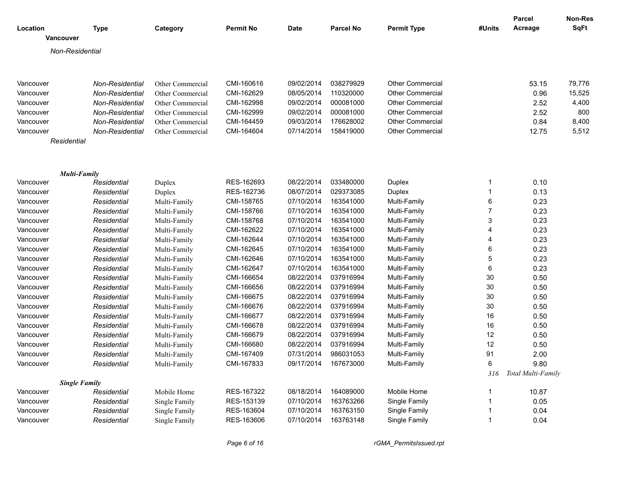|           |                      |                 |                  |                  |             |                  |                         |                | <b>Parcel</b>      | Non-Res |
|-----------|----------------------|-----------------|------------------|------------------|-------------|------------------|-------------------------|----------------|--------------------|---------|
| Location  |                      | <b>Type</b>     | Category         | <b>Permit No</b> | <b>Date</b> | <b>Parcel No</b> | <b>Permit Type</b>      | #Units         | Acreage            | SqFt    |
|           | Vancouver            |                 |                  |                  |             |                  |                         |                |                    |         |
|           | Non-Residential      |                 |                  |                  |             |                  |                         |                |                    |         |
|           |                      |                 |                  |                  |             |                  |                         |                |                    |         |
| Vancouver |                      | Non-Residential | Other Commercial | CMI-160616       | 09/02/2014  | 038279929        | <b>Other Commercial</b> |                | 53.15              | 79,776  |
| Vancouver |                      | Non-Residential | Other Commercial | CMI-162629       | 08/05/2014  | 110320000        | <b>Other Commercial</b> |                | 0.96               | 15,525  |
| Vancouver |                      | Non-Residential | Other Commercial | CMI-162998       | 09/02/2014  | 000081000        | <b>Other Commercial</b> |                | 2.52               | 4,400   |
| Vancouver |                      | Non-Residential | Other Commercial | CMI-162999       | 09/02/2014  | 000081000        | <b>Other Commercial</b> |                | 2.52               | 800     |
| Vancouver |                      | Non-Residential | Other Commercial | CMI-164459       | 09/03/2014  | 176628002        | <b>Other Commercial</b> |                | 0.84               | 8,400   |
| Vancouver |                      | Non-Residential | Other Commercial | CMI-164604       | 07/14/2014  | 158419000        | <b>Other Commercial</b> |                | 12.75              | 5,512   |
|           | Residential          |                 |                  |                  |             |                  |                         |                |                    |         |
|           |                      |                 |                  |                  |             |                  |                         |                |                    |         |
|           |                      |                 |                  |                  |             |                  |                         |                |                    |         |
|           | <b>Multi-Family</b>  |                 |                  |                  |             |                  |                         |                |                    |         |
| Vancouver |                      | Residential     | Duplex           | RES-162693       | 08/22/2014  | 033480000        | Duplex                  | $\mathbf 1$    | 0.10               |         |
| Vancouver |                      | Residential     | Duplex           | RES-162736       | 08/07/2014  | 029373085        | Duplex                  | $\overline{1}$ | 0.13               |         |
| Vancouver |                      | Residential     | Multi-Family     | CMI-158765       | 07/10/2014  | 163541000        | Multi-Family            | 6              | 0.23               |         |
| Vancouver |                      | Residential     | Multi-Family     | CMI-158766       | 07/10/2014  | 163541000        | Multi-Family            | $\overline{7}$ | 0.23               |         |
| Vancouver |                      | Residential     | Multi-Family     | CMI-158768       | 07/10/2014  | 163541000        | Multi-Family            | 3              | 0.23               |         |
| Vancouver |                      | Residential     | Multi-Family     | CMI-162622       | 07/10/2014  | 163541000        | Multi-Family            | $\overline{4}$ | 0.23               |         |
| Vancouver |                      | Residential     | Multi-Family     | CMI-162644       | 07/10/2014  | 163541000        | Multi-Family            | $\overline{A}$ | 0.23               |         |
| Vancouver |                      | Residential     | Multi-Family     | CMI-162645       | 07/10/2014  | 163541000        | Multi-Family            | $\,6\,$        | 0.23               |         |
| Vancouver |                      | Residential     | Multi-Family     | CMI-162646       | 07/10/2014  | 163541000        | Multi-Family            | 5              | 0.23               |         |
| Vancouver |                      | Residential     | Multi-Family     | CMI-162647       | 07/10/2014  | 163541000        | Multi-Family            | $\,6\,$        | 0.23               |         |
| Vancouver |                      | Residential     | Multi-Family     | CMI-166654       | 08/22/2014  | 037916994        | Multi-Family            | 30             | 0.50               |         |
| Vancouver |                      | Residential     | Multi-Family     | CMI-166656       | 08/22/2014  | 037916994        | Multi-Family            | 30             | 0.50               |         |
| Vancouver |                      | Residential     | Multi-Family     | CMI-166675       | 08/22/2014  | 037916994        | Multi-Family            | 30             | 0.50               |         |
| Vancouver |                      | Residential     | Multi-Family     | CMI-166676       | 08/22/2014  | 037916994        | Multi-Family            | 30             | 0.50               |         |
| Vancouver |                      | Residential     | Multi-Family     | CMI-166677       | 08/22/2014  | 037916994        | Multi-Family            | 16             | 0.50               |         |
| Vancouver |                      | Residential     | Multi-Family     | CMI-166678       | 08/22/2014  | 037916994        | Multi-Family            | 16             | 0.50               |         |
| Vancouver |                      | Residential     | Multi-Family     | CMI-166679       | 08/22/2014  | 037916994        | Multi-Family            | 12             | 0.50               |         |
| Vancouver |                      | Residential     | Multi-Family     | CMI-166680       | 08/22/2014  | 037916994        | Multi-Family            | 12             | 0.50               |         |
| Vancouver |                      | Residential     | Multi-Family     | CMI-167409       | 07/31/2014  | 986031053        | Multi-Family            | 91             | 2.00               |         |
| Vancouver |                      | Residential     | Multi-Family     | CMI-167833       | 09/17/2014  | 167673000        | Multi-Family            | 6              | 9.80               |         |
|           |                      |                 |                  |                  |             |                  |                         | 316            | Total Multi-Family |         |
|           | <b>Single Family</b> |                 |                  |                  |             |                  |                         |                |                    |         |
| Vancouver |                      | Residential     | Mobile Home      | RES-167322       | 08/18/2014  | 164089000        | Mobile Home             | $\mathbf{1}$   | 10.87              |         |
| Vancouver |                      | Residential     | Single Family    | RES-153139       | 07/10/2014  | 163763266        | Single Family           | $\overline{1}$ | 0.05               |         |
| Vancouver |                      | Residential     | Single Family    | RES-163604       | 07/10/2014  | 163763150        | Single Family           | $\overline{1}$ | 0.04               |         |
| Vancouver |                      | Residential     | Single Family    | RES-163606       | 07/10/2014  | 163763148        | Single Family           | $\overline{1}$ | 0.04               |         |

*Page 6 of 16 rGMA\_PermitsIssued.rpt*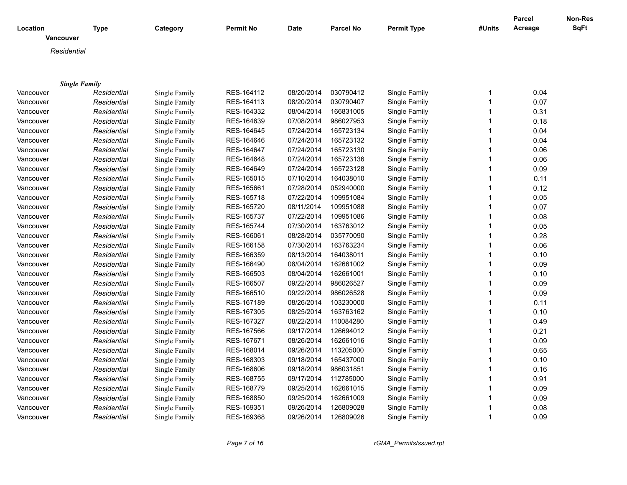| Location             | Type        | Category      | <b>Permit No</b> | <b>Date</b> | <b>Parcel No</b> | <b>Permit Type</b> | #Units       | Parcel<br>Acreage | Non-Res<br><b>SqFt</b> |
|----------------------|-------------|---------------|------------------|-------------|------------------|--------------------|--------------|-------------------|------------------------|
| <b>Vancouver</b>     |             |               |                  |             |                  |                    |              |                   |                        |
| Residential          |             |               |                  |             |                  |                    |              |                   |                        |
|                      |             |               |                  |             |                  |                    |              |                   |                        |
|                      |             |               |                  |             |                  |                    |              |                   |                        |
| <b>Single Family</b> |             |               |                  |             |                  |                    |              |                   |                        |
| Vancouver            | Residential | Single Family | RES-164112       | 08/20/2014  | 030790412        | Single Family      | 1            | 0.04              |                        |
| Vancouver            | Residential | Single Family | RES-164113       | 08/20/2014  | 030790407        | Single Family      | $\mathbf{1}$ | 0.07              |                        |
| Vancouver            | Residential | Single Family | RES-164332       | 08/04/2014  | 166831005        | Single Family      | $\mathbf{1}$ | 0.31              |                        |
| Vancouver            | Residential | Single Family | RES-164639       | 07/08/2014  | 986027953        | Single Family      | $\mathbf 1$  | 0.18              |                        |
| Vancouver            | Residential | Single Family | RES-164645       | 07/24/2014  | 165723134        | Single Family      | $\mathbf 1$  | 0.04              |                        |
| Vancouver            | Residential | Single Family | RES-164646       | 07/24/2014  | 165723132        | Single Family      | $\mathbf{1}$ | 0.04              |                        |
| Vancouver            | Residential | Single Family | RES-164647       | 07/24/2014  | 165723130        | Single Family      | $\mathbf{1}$ | 0.06              |                        |
| Vancouver            | Residential | Single Family | RES-164648       | 07/24/2014  | 165723136        | Single Family      | $\mathbf{1}$ | 0.06              |                        |
| Vancouver            | Residential | Single Family | RES-164649       | 07/24/2014  | 165723128        | Single Family      | $\mathbf{1}$ | 0.09              |                        |
| Vancouver            | Residential | Single Family | RES-165015       | 07/10/2014  | 164038010        | Single Family      | $\mathbf{1}$ | 0.11              |                        |
| Vancouver            | Residential | Single Family | RES-165661       | 07/28/2014  | 052940000        | Single Family      | $\mathbf{1}$ | 0.12              |                        |
| Vancouver            | Residential | Single Family | RES-165718       | 07/22/2014  | 109951084        | Single Family      | $\mathbf{1}$ | 0.05              |                        |
| Vancouver            | Residential | Single Family | RES-165720       | 08/11/2014  | 109951088        | Single Family      | $\mathbf{1}$ | 0.07              |                        |
| Vancouver            | Residential | Single Family | RES-165737       | 07/22/2014  | 109951086        | Single Family      | 1            | 0.08              |                        |
| Vancouver            | Residential | Single Family | RES-165744       | 07/30/2014  | 163763012        | Single Family      | $\mathbf{1}$ | 0.05              |                        |
| Vancouver            | Residential | Single Family | RES-166061       | 08/28/2014  | 035770090        | Single Family      | $\mathbf{1}$ | 0.28              |                        |
| Vancouver            | Residential | Single Family | RES-166158       | 07/30/2014  | 163763234        | Single Family      | $\mathbf{1}$ | 0.06              |                        |
| Vancouver            | Residential | Single Family | RES-166359       | 08/13/2014  | 164038011        | Single Family      | $\mathbf{1}$ | 0.10              |                        |
| Vancouver            | Residential | Single Family | RES-166490       | 08/04/2014  | 162661002        | Single Family      | $\mathbf{1}$ | 0.09              |                        |
| Vancouver            | Residential | Single Family | RES-166503       | 08/04/2014  | 162661001        | Single Family      | $\mathbf{1}$ | 0.10              |                        |
| Vancouver            | Residential | Single Family | RES-166507       | 09/22/2014  | 986026527        | Single Family      | $\mathbf{1}$ | 0.09              |                        |
| Vancouver            | Residential | Single Family | RES-166510       | 09/22/2014  | 986026528        | Single Family      | $\mathbf{1}$ | 0.09              |                        |
| Vancouver            | Residential | Single Family | RES-167189       | 08/26/2014  | 103230000        | Single Family      | $\mathbf{1}$ | 0.11              |                        |
| Vancouver            | Residential | Single Family | RES-167305       | 08/25/2014  | 163763162        | Single Family      | $\mathbf{1}$ | 0.10              |                        |
| Vancouver            | Residential | Single Family | RES-167327       | 08/22/2014  | 110084280        | Single Family      | $\mathbf{1}$ | 0.49              |                        |
| Vancouver            | Residential | Single Family | RES-167566       | 09/17/2014  | 126694012        | Single Family      | $\mathbf{1}$ | 0.21              |                        |
| Vancouver            | Residential | Single Family | RES-167671       | 08/26/2014  | 162661016        | Single Family      | $\mathbf{1}$ | 0.09              |                        |
| Vancouver            | Residential | Single Family | RES-168014       | 09/26/2014  | 113205000        | Single Family      | $\mathbf{1}$ | 0.65              |                        |
| Vancouver            | Residential | Single Family | RES-168303       | 09/18/2014  | 165437000        | Single Family      | $\mathbf{1}$ | 0.10              |                        |
| Vancouver            | Residential | Single Family | RES-168606       | 09/18/2014  | 986031851        | Single Family      | $\mathbf{1}$ | 0.16              |                        |
| Vancouver            | Residential | Single Family | RES-168755       | 09/17/2014  | 112785000        | Single Family      | $\mathbf{1}$ | 0.91              |                        |
| Vancouver            | Residential | Single Family | RES-168779       | 09/25/2014  | 162661015        | Single Family      | 1            | 0.09              |                        |
| Vancouver            | Residential | Single Family | RES-168850       | 09/25/2014  | 162661009        | Single Family      | 1            | 0.09              |                        |
| Vancouver            | Residential | Single Family | RES-169351       | 09/26/2014  | 126809028        | Single Family      | 1            | 0.08              |                        |
| Vancouver            | Residential | Single Family | RES-169368       | 09/26/2014  | 126809026        | Single Family      | $\mathbf{1}$ | 0.09              |                        |
|                      |             |               |                  |             |                  |                    |              |                   |                        |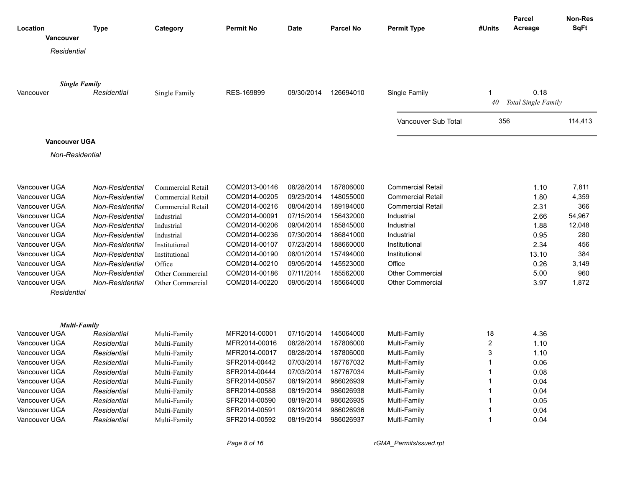| Location      |                      | <b>Type</b>            | Category                 | <b>Permit No</b> | <b>Date</b> | <b>Parcel No</b> | <b>Permit Type</b>       | #Units         | <b>Parcel</b><br>Acreage | <b>Non-Res</b><br><b>SqFt</b> |
|---------------|----------------------|------------------------|--------------------------|------------------|-------------|------------------|--------------------------|----------------|--------------------------|-------------------------------|
|               | <b>Vancouver</b>     |                        |                          |                  |             |                  |                          |                |                          |                               |
|               | Residential          |                        |                          |                  |             |                  |                          |                |                          |                               |
|               |                      |                        |                          |                  |             |                  |                          |                |                          |                               |
|               |                      |                        |                          |                  |             |                  |                          |                |                          |                               |
|               | <b>Single Family</b> |                        |                          |                  |             |                  |                          |                |                          |                               |
| Vancouver     |                      | Residential            | Single Family            | RES-169899       | 09/30/2014  | 126694010        | Single Family            | $\mathbf 1$    | 0.18                     |                               |
|               |                      |                        |                          |                  |             |                  |                          | 40             | Total Single Family      |                               |
|               |                      |                        |                          |                  |             |                  |                          |                |                          |                               |
|               |                      |                        |                          |                  |             |                  | Vancouver Sub Total      | 356            |                          | 114,413                       |
|               |                      |                        |                          |                  |             |                  |                          |                |                          |                               |
|               | Vancouver UGA        |                        |                          |                  |             |                  |                          |                |                          |                               |
|               | Non-Residential      |                        |                          |                  |             |                  |                          |                |                          |                               |
|               |                      |                        |                          |                  |             |                  |                          |                |                          |                               |
|               |                      |                        |                          |                  |             |                  |                          |                |                          |                               |
| Vancouver UGA |                      | Non-Residential        | <b>Commercial Retail</b> | COM2013-00146    | 08/28/2014  | 187806000        | <b>Commercial Retail</b> |                | 1.10                     | 7,811                         |
| Vancouver UGA |                      | Non-Residential        | Commercial Retail        | COM2014-00205    | 09/23/2014  | 148055000        | <b>Commercial Retail</b> |                | 1.80                     | 4,359                         |
| Vancouver UGA |                      | Non-Residential        | Commercial Retail        | COM2014-00216    | 08/04/2014  | 189194000        | <b>Commercial Retail</b> |                | 2.31                     | 366                           |
| Vancouver UGA |                      | <b>Non-Residential</b> | Industrial               | COM2014-00091    | 07/15/2014  | 156432000        | Industrial               |                | 2.66                     | 54,967                        |
| Vancouver UGA |                      | Non-Residential        | Industrial               | COM2014-00206    | 09/04/2014  | 185845000        | Industrial               |                | 1.88                     | 12,048                        |
| Vancouver UGA |                      | <b>Non-Residential</b> | Industrial               | COM2014-00236    | 07/30/2014  | 186841000        | Industrial               |                | 0.95                     | 280                           |
| Vancouver UGA |                      | <b>Non-Residential</b> | Institutional            | COM2014-00107    | 07/23/2014  | 188660000        | Institutional            |                | 2.34                     | 456                           |
| Vancouver UGA |                      | <b>Non-Residential</b> | Institutional            | COM2014-00190    | 08/01/2014  | 157494000        | Institutional            |                | 13.10                    | 384                           |
| Vancouver UGA |                      | <b>Non-Residential</b> | Office                   | COM2014-00210    | 09/05/2014  | 145523000        | Office                   |                | 0.26                     | 3,149                         |
| Vancouver UGA |                      | <b>Non-Residential</b> | Other Commercial         | COM2014-00186    | 07/11/2014  | 185562000        | <b>Other Commercial</b>  |                | 5.00                     | 960                           |
| Vancouver UGA |                      | <b>Non-Residential</b> | Other Commercial         | COM2014-00220    | 09/05/2014  | 185664000        | <b>Other Commercial</b>  |                | 3.97                     | 1,872                         |
|               | Residential          |                        |                          |                  |             |                  |                          |                |                          |                               |
|               |                      |                        |                          |                  |             |                  |                          |                |                          |                               |
|               |                      |                        |                          |                  |             |                  |                          |                |                          |                               |
|               | <b>Multi-Family</b>  |                        |                          |                  |             |                  |                          |                |                          |                               |
| Vancouver UGA |                      | Residential            | Multi-Family             | MFR2014-00001    | 07/15/2014  | 145064000        | Multi-Family             | 18             | 4.36                     |                               |
| Vancouver UGA |                      | Residential            | Multi-Family             | MFR2014-00016    | 08/28/2014  | 187806000        | Multi-Family             | $\overline{c}$ | 1.10                     |                               |
| Vancouver UGA |                      | Residential            | Multi-Family             | MFR2014-00017    | 08/28/2014  | 187806000        | Multi-Family             | 3              | 1.10                     |                               |
| Vancouver UGA |                      | Residential            | Multi-Family             | SFR2014-00442    | 07/03/2014  | 187767032        | Multi-Family             | $\mathbf{1}$   | 0.06                     |                               |
| Vancouver UGA |                      | Residential            | Multi-Family             | SFR2014-00444    | 07/03/2014  | 187767034        | Multi-Family             | $\mathbf{1}$   | 0.08                     |                               |
| Vancouver UGA |                      | Residential            | Multi-Family             | SFR2014-00587    | 08/19/2014  | 986026939        | Multi-Family             | $\overline{1}$ | 0.04                     |                               |
| Vancouver UGA |                      | Residential            | Multi-Family             | SFR2014-00588    | 08/19/2014  | 986026938        | Multi-Family             | $\mathbf{1}$   | 0.04                     |                               |
| Vancouver UGA |                      | Residential            | Multi-Family             | SFR2014-00590    | 08/19/2014  | 986026935        | Multi-Family             | $\mathbf{1}$   | 0.05                     |                               |
| Vancouver UGA |                      | Residential            | Multi-Family             | SFR2014-00591    | 08/19/2014  | 986026936        | Multi-Family             | -1             | 0.04                     |                               |
| Vancouver UGA |                      | Residential            | Multi-Family             | SFR2014-00592    | 08/19/2014  | 986026937        | Multi-Family             | $\overline{1}$ | 0.04                     |                               |

*Page 8 of 16 rGMA\_PermitsIssued.rpt*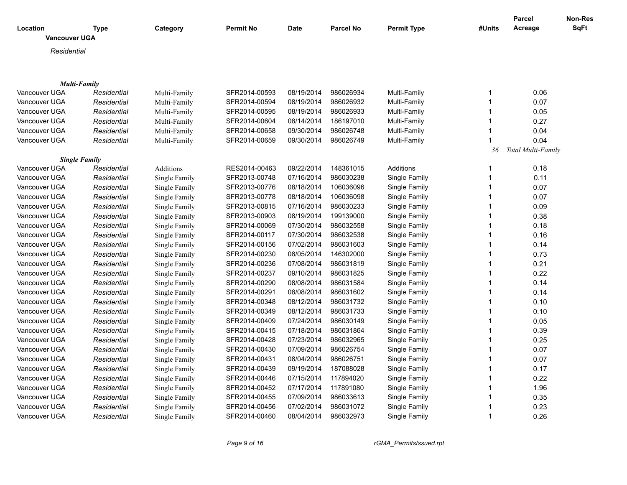| Residential<br><b>Multi-Family</b><br>Vancouver UGA<br>Residential<br>Multi-Family<br>SFR2014-00593<br>08/19/2014<br>986026934<br>Multi-Family<br>0.06<br>1<br>986026932<br>$\mathbf{1}$<br>0.07<br>Vancouver UGA<br>Residential<br>SFR2014-00594<br>08/19/2014<br>Multi-Family<br>Multi-Family<br>Vancouver UGA<br>SFR2014-00595<br>08/19/2014<br>986026933<br>Multi-Family<br>0.05<br>Residential<br>Multi-Family<br>1<br>08/14/2014<br>186197010<br>0.27<br>Vancouver UGA<br>Residential<br>Multi-Family<br>SFR2014-00604<br>Multi-Family<br>$\mathbf{1}$<br>SFR2014-00658<br>09/30/2014<br>986026748<br>Multi-Family<br>1<br>0.04<br>Vancouver UGA<br>Residential<br>Multi-Family<br>Vancouver UGA<br>SFR2014-00659<br>09/30/2014<br>986026749<br>Multi-Family<br>0.04<br>Residential<br>1<br>Multi-Family<br>Total Multi-Family<br>36<br><b>Single Family</b><br>Vancouver UGA<br>Residential<br>Additions<br>RES2014-00463<br>09/22/2014<br>148361015<br>Additions<br>$\mathbf 1$<br>0.18<br>Vancouver UGA<br>SFR2013-00748<br>07/16/2014<br>986030238<br>Single Family<br>0.11<br>Residential<br>Single Family<br>$\mathbf 1$<br>0.07<br>Vancouver UGA<br>Residential<br>Single Family<br>SFR2013-00776<br>08/18/2014<br>106036096<br>Single Family<br>$\mathbf 1$<br>SFR2013-00778<br>08/18/2014<br>106036098<br>0.07<br>Vancouver UGA<br>Residential<br>Single Family<br>Single Family<br>1<br>SFR2013-00815<br>07/16/2014<br>986030233<br>0.09<br>Vancouver UGA<br>Residential<br>Single Family<br>Single Family<br>$\mathbf{1}$<br>08/19/2014<br>199139000<br>Vancouver UGA<br>SFR2013-00903<br>Single Family<br>0.38<br>Residential<br>Single Family<br>1<br>07/30/2014<br>986032558<br>Vancouver UGA<br>Single Family<br>SFR2014-00069<br>Single Family<br>1<br>0.18<br>Residential<br>07/30/2014<br>986032538<br>0.16<br>Vancouver UGA<br>Residential<br>Single Family<br>SFR2014-00117<br>Single Family<br>1<br>07/02/2014<br>986031603<br>Vancouver UGA<br>Residential<br>Single Family<br>SFR2014-00156<br>Single Family<br>$\mathbf 1$<br>0.14<br>SFR2014-00230<br>08/05/2014<br>146302000<br>Single Family<br>0.73<br>Vancouver UGA<br>Residential<br>Single Family<br>1<br>Vancouver UGA<br>Residential<br>SFR2014-00236<br>07/08/2014<br>986031819<br>Single Family<br>$\overline{1}$<br>0.21<br>Single Family<br>0.22<br>Vancouver UGA<br>Residential<br>Single Family<br>SFR2014-00237<br>09/10/2014<br>986031825<br>Single Family<br>1<br>08/08/2014<br>986031584<br>0.14<br>Vancouver UGA<br>Residential<br>SFR2014-00290<br>Single Family<br>1<br>Single Family<br>SFR2014-00291<br>08/08/2014<br>986031602<br>Single Family<br>1<br>0.14<br>Vancouver UGA<br>Residential<br>Single Family<br>08/12/2014<br>986031732<br>Single Family<br>0.10<br>Vancouver UGA<br>Residential<br>Single Family<br>SFR2014-00348<br>$\mathbf 1$<br>08/12/2014<br>986031733<br>Single Family<br>1<br>0.10<br>Vancouver UGA<br>Residential<br>Single Family<br>SFR2014-00349<br>Vancouver UGA<br>Residential<br>Single Family<br>SFR2014-00409<br>07/24/2014<br>986030149<br>Single Family<br>1<br>0.05<br>Vancouver UGA<br>Residential<br>Single Family<br>SFR2014-00415<br>07/18/2014<br>986031864<br>Single Family<br>1<br>0.39<br>07/23/2014<br>986032965<br>0.25<br>Vancouver UGA<br>Residential<br>Single Family<br>SFR2014-00428<br>Single Family<br>1<br>07/09/2014<br>986026754<br>1<br>0.07<br>Vancouver UGA<br>Residential<br>Single Family<br>SFR2014-00430<br>Single Family<br>986026751<br>Vancouver UGA<br>SFR2014-00431<br>08/04/2014<br>Single Family<br>0.07<br>Residential<br>Single Family<br>1<br>09/19/2014<br>187088028<br>Vancouver UGA<br>SFR2014-00439<br>Single Family<br>$\mathbf{1}$<br>Residential<br>Single Family<br>0.17<br>0.22<br>Vancouver UGA<br>Residential<br>Single Family<br>SFR2014-00446<br>07/15/2014<br>117894020<br>Single Family<br>1<br>Vancouver UGA<br>Residential<br>Single Family<br>SFR2014-00452<br>07/17/2014<br>117891080<br>Single Family<br>$\mathbf 1$<br>1.96<br>SFR2014-00455<br>07/09/2014<br>986033613<br>0.35<br>Vancouver UGA<br>Residential<br>Single Family<br>Single Family<br>1<br>0.23<br>SFR2014-00456<br>07/02/2014<br>986031072<br>Vancouver UGA<br>Residential<br>Single Family<br>Single Family<br>1<br>SFR2014-00460<br>08/04/2014<br>986032973<br>Vancouver UGA<br>Single Family<br>1<br>0.26<br>Residential<br>Single Family | Location<br><b>Vancouver UGA</b> | Type | Category | <b>Permit No</b> | <b>Date</b> | <b>Parcel No</b> | <b>Permit Type</b> | #Units | <b>Parcel</b><br>Acreage | Non-Res<br>SqFt |
|--------------------------------------------------------------------------------------------------------------------------------------------------------------------------------------------------------------------------------------------------------------------------------------------------------------------------------------------------------------------------------------------------------------------------------------------------------------------------------------------------------------------------------------------------------------------------------------------------------------------------------------------------------------------------------------------------------------------------------------------------------------------------------------------------------------------------------------------------------------------------------------------------------------------------------------------------------------------------------------------------------------------------------------------------------------------------------------------------------------------------------------------------------------------------------------------------------------------------------------------------------------------------------------------------------------------------------------------------------------------------------------------------------------------------------------------------------------------------------------------------------------------------------------------------------------------------------------------------------------------------------------------------------------------------------------------------------------------------------------------------------------------------------------------------------------------------------------------------------------------------------------------------------------------------------------------------------------------------------------------------------------------------------------------------------------------------------------------------------------------------------------------------------------------------------------------------------------------------------------------------------------------------------------------------------------------------------------------------------------------------------------------------------------------------------------------------------------------------------------------------------------------------------------------------------------------------------------------------------------------------------------------------------------------------------------------------------------------------------------------------------------------------------------------------------------------------------------------------------------------------------------------------------------------------------------------------------------------------------------------------------------------------------------------------------------------------------------------------------------------------------------------------------------------------------------------------------------------------------------------------------------------------------------------------------------------------------------------------------------------------------------------------------------------------------------------------------------------------------------------------------------------------------------------------------------------------------------------------------------------------------------------------------------------------------------------------------------------------------------------------------------------------------------------------------------------------------------------------------------------------------------------------------------------------------------------------------------------------------------------------------------------------------------------------------------------------------------------------------------------------------------------------------------------------------------------------------------------------------------------------------------------------------------------------------------------------------------------------------------------------------------------------------------------|----------------------------------|------|----------|------------------|-------------|------------------|--------------------|--------|--------------------------|-----------------|
|                                                                                                                                                                                                                                                                                                                                                                                                                                                                                                                                                                                                                                                                                                                                                                                                                                                                                                                                                                                                                                                                                                                                                                                                                                                                                                                                                                                                                                                                                                                                                                                                                                                                                                                                                                                                                                                                                                                                                                                                                                                                                                                                                                                                                                                                                                                                                                                                                                                                                                                                                                                                                                                                                                                                                                                                                                                                                                                                                                                                                                                                                                                                                                                                                                                                                                                                                                                                                                                                                                                                                                                                                                                                                                                                                                                                                                                                                                                                                                                                                                                                                                                                                                                                                                                                                                                                                                                                                    |                                  |      |          |                  |             |                  |                    |        |                          |                 |
|                                                                                                                                                                                                                                                                                                                                                                                                                                                                                                                                                                                                                                                                                                                                                                                                                                                                                                                                                                                                                                                                                                                                                                                                                                                                                                                                                                                                                                                                                                                                                                                                                                                                                                                                                                                                                                                                                                                                                                                                                                                                                                                                                                                                                                                                                                                                                                                                                                                                                                                                                                                                                                                                                                                                                                                                                                                                                                                                                                                                                                                                                                                                                                                                                                                                                                                                                                                                                                                                                                                                                                                                                                                                                                                                                                                                                                                                                                                                                                                                                                                                                                                                                                                                                                                                                                                                                                                                                    |                                  |      |          |                  |             |                  |                    |        |                          |                 |
|                                                                                                                                                                                                                                                                                                                                                                                                                                                                                                                                                                                                                                                                                                                                                                                                                                                                                                                                                                                                                                                                                                                                                                                                                                                                                                                                                                                                                                                                                                                                                                                                                                                                                                                                                                                                                                                                                                                                                                                                                                                                                                                                                                                                                                                                                                                                                                                                                                                                                                                                                                                                                                                                                                                                                                                                                                                                                                                                                                                                                                                                                                                                                                                                                                                                                                                                                                                                                                                                                                                                                                                                                                                                                                                                                                                                                                                                                                                                                                                                                                                                                                                                                                                                                                                                                                                                                                                                                    |                                  |      |          |                  |             |                  |                    |        |                          |                 |
|                                                                                                                                                                                                                                                                                                                                                                                                                                                                                                                                                                                                                                                                                                                                                                                                                                                                                                                                                                                                                                                                                                                                                                                                                                                                                                                                                                                                                                                                                                                                                                                                                                                                                                                                                                                                                                                                                                                                                                                                                                                                                                                                                                                                                                                                                                                                                                                                                                                                                                                                                                                                                                                                                                                                                                                                                                                                                                                                                                                                                                                                                                                                                                                                                                                                                                                                                                                                                                                                                                                                                                                                                                                                                                                                                                                                                                                                                                                                                                                                                                                                                                                                                                                                                                                                                                                                                                                                                    |                                  |      |          |                  |             |                  |                    |        |                          |                 |
|                                                                                                                                                                                                                                                                                                                                                                                                                                                                                                                                                                                                                                                                                                                                                                                                                                                                                                                                                                                                                                                                                                                                                                                                                                                                                                                                                                                                                                                                                                                                                                                                                                                                                                                                                                                                                                                                                                                                                                                                                                                                                                                                                                                                                                                                                                                                                                                                                                                                                                                                                                                                                                                                                                                                                                                                                                                                                                                                                                                                                                                                                                                                                                                                                                                                                                                                                                                                                                                                                                                                                                                                                                                                                                                                                                                                                                                                                                                                                                                                                                                                                                                                                                                                                                                                                                                                                                                                                    |                                  |      |          |                  |             |                  |                    |        |                          |                 |
|                                                                                                                                                                                                                                                                                                                                                                                                                                                                                                                                                                                                                                                                                                                                                                                                                                                                                                                                                                                                                                                                                                                                                                                                                                                                                                                                                                                                                                                                                                                                                                                                                                                                                                                                                                                                                                                                                                                                                                                                                                                                                                                                                                                                                                                                                                                                                                                                                                                                                                                                                                                                                                                                                                                                                                                                                                                                                                                                                                                                                                                                                                                                                                                                                                                                                                                                                                                                                                                                                                                                                                                                                                                                                                                                                                                                                                                                                                                                                                                                                                                                                                                                                                                                                                                                                                                                                                                                                    |                                  |      |          |                  |             |                  |                    |        |                          |                 |
|                                                                                                                                                                                                                                                                                                                                                                                                                                                                                                                                                                                                                                                                                                                                                                                                                                                                                                                                                                                                                                                                                                                                                                                                                                                                                                                                                                                                                                                                                                                                                                                                                                                                                                                                                                                                                                                                                                                                                                                                                                                                                                                                                                                                                                                                                                                                                                                                                                                                                                                                                                                                                                                                                                                                                                                                                                                                                                                                                                                                                                                                                                                                                                                                                                                                                                                                                                                                                                                                                                                                                                                                                                                                                                                                                                                                                                                                                                                                                                                                                                                                                                                                                                                                                                                                                                                                                                                                                    |                                  |      |          |                  |             |                  |                    |        |                          |                 |
|                                                                                                                                                                                                                                                                                                                                                                                                                                                                                                                                                                                                                                                                                                                                                                                                                                                                                                                                                                                                                                                                                                                                                                                                                                                                                                                                                                                                                                                                                                                                                                                                                                                                                                                                                                                                                                                                                                                                                                                                                                                                                                                                                                                                                                                                                                                                                                                                                                                                                                                                                                                                                                                                                                                                                                                                                                                                                                                                                                                                                                                                                                                                                                                                                                                                                                                                                                                                                                                                                                                                                                                                                                                                                                                                                                                                                                                                                                                                                                                                                                                                                                                                                                                                                                                                                                                                                                                                                    |                                  |      |          |                  |             |                  |                    |        |                          |                 |
|                                                                                                                                                                                                                                                                                                                                                                                                                                                                                                                                                                                                                                                                                                                                                                                                                                                                                                                                                                                                                                                                                                                                                                                                                                                                                                                                                                                                                                                                                                                                                                                                                                                                                                                                                                                                                                                                                                                                                                                                                                                                                                                                                                                                                                                                                                                                                                                                                                                                                                                                                                                                                                                                                                                                                                                                                                                                                                                                                                                                                                                                                                                                                                                                                                                                                                                                                                                                                                                                                                                                                                                                                                                                                                                                                                                                                                                                                                                                                                                                                                                                                                                                                                                                                                                                                                                                                                                                                    |                                  |      |          |                  |             |                  |                    |        |                          |                 |
|                                                                                                                                                                                                                                                                                                                                                                                                                                                                                                                                                                                                                                                                                                                                                                                                                                                                                                                                                                                                                                                                                                                                                                                                                                                                                                                                                                                                                                                                                                                                                                                                                                                                                                                                                                                                                                                                                                                                                                                                                                                                                                                                                                                                                                                                                                                                                                                                                                                                                                                                                                                                                                                                                                                                                                                                                                                                                                                                                                                                                                                                                                                                                                                                                                                                                                                                                                                                                                                                                                                                                                                                                                                                                                                                                                                                                                                                                                                                                                                                                                                                                                                                                                                                                                                                                                                                                                                                                    |                                  |      |          |                  |             |                  |                    |        |                          |                 |
|                                                                                                                                                                                                                                                                                                                                                                                                                                                                                                                                                                                                                                                                                                                                                                                                                                                                                                                                                                                                                                                                                                                                                                                                                                                                                                                                                                                                                                                                                                                                                                                                                                                                                                                                                                                                                                                                                                                                                                                                                                                                                                                                                                                                                                                                                                                                                                                                                                                                                                                                                                                                                                                                                                                                                                                                                                                                                                                                                                                                                                                                                                                                                                                                                                                                                                                                                                                                                                                                                                                                                                                                                                                                                                                                                                                                                                                                                                                                                                                                                                                                                                                                                                                                                                                                                                                                                                                                                    |                                  |      |          |                  |             |                  |                    |        |                          |                 |
|                                                                                                                                                                                                                                                                                                                                                                                                                                                                                                                                                                                                                                                                                                                                                                                                                                                                                                                                                                                                                                                                                                                                                                                                                                                                                                                                                                                                                                                                                                                                                                                                                                                                                                                                                                                                                                                                                                                                                                                                                                                                                                                                                                                                                                                                                                                                                                                                                                                                                                                                                                                                                                                                                                                                                                                                                                                                                                                                                                                                                                                                                                                                                                                                                                                                                                                                                                                                                                                                                                                                                                                                                                                                                                                                                                                                                                                                                                                                                                                                                                                                                                                                                                                                                                                                                                                                                                                                                    |                                  |      |          |                  |             |                  |                    |        |                          |                 |
|                                                                                                                                                                                                                                                                                                                                                                                                                                                                                                                                                                                                                                                                                                                                                                                                                                                                                                                                                                                                                                                                                                                                                                                                                                                                                                                                                                                                                                                                                                                                                                                                                                                                                                                                                                                                                                                                                                                                                                                                                                                                                                                                                                                                                                                                                                                                                                                                                                                                                                                                                                                                                                                                                                                                                                                                                                                                                                                                                                                                                                                                                                                                                                                                                                                                                                                                                                                                                                                                                                                                                                                                                                                                                                                                                                                                                                                                                                                                                                                                                                                                                                                                                                                                                                                                                                                                                                                                                    |                                  |      |          |                  |             |                  |                    |        |                          |                 |
|                                                                                                                                                                                                                                                                                                                                                                                                                                                                                                                                                                                                                                                                                                                                                                                                                                                                                                                                                                                                                                                                                                                                                                                                                                                                                                                                                                                                                                                                                                                                                                                                                                                                                                                                                                                                                                                                                                                                                                                                                                                                                                                                                                                                                                                                                                                                                                                                                                                                                                                                                                                                                                                                                                                                                                                                                                                                                                                                                                                                                                                                                                                                                                                                                                                                                                                                                                                                                                                                                                                                                                                                                                                                                                                                                                                                                                                                                                                                                                                                                                                                                                                                                                                                                                                                                                                                                                                                                    |                                  |      |          |                  |             |                  |                    |        |                          |                 |
|                                                                                                                                                                                                                                                                                                                                                                                                                                                                                                                                                                                                                                                                                                                                                                                                                                                                                                                                                                                                                                                                                                                                                                                                                                                                                                                                                                                                                                                                                                                                                                                                                                                                                                                                                                                                                                                                                                                                                                                                                                                                                                                                                                                                                                                                                                                                                                                                                                                                                                                                                                                                                                                                                                                                                                                                                                                                                                                                                                                                                                                                                                                                                                                                                                                                                                                                                                                                                                                                                                                                                                                                                                                                                                                                                                                                                                                                                                                                                                                                                                                                                                                                                                                                                                                                                                                                                                                                                    |                                  |      |          |                  |             |                  |                    |        |                          |                 |
|                                                                                                                                                                                                                                                                                                                                                                                                                                                                                                                                                                                                                                                                                                                                                                                                                                                                                                                                                                                                                                                                                                                                                                                                                                                                                                                                                                                                                                                                                                                                                                                                                                                                                                                                                                                                                                                                                                                                                                                                                                                                                                                                                                                                                                                                                                                                                                                                                                                                                                                                                                                                                                                                                                                                                                                                                                                                                                                                                                                                                                                                                                                                                                                                                                                                                                                                                                                                                                                                                                                                                                                                                                                                                                                                                                                                                                                                                                                                                                                                                                                                                                                                                                                                                                                                                                                                                                                                                    |                                  |      |          |                  |             |                  |                    |        |                          |                 |
|                                                                                                                                                                                                                                                                                                                                                                                                                                                                                                                                                                                                                                                                                                                                                                                                                                                                                                                                                                                                                                                                                                                                                                                                                                                                                                                                                                                                                                                                                                                                                                                                                                                                                                                                                                                                                                                                                                                                                                                                                                                                                                                                                                                                                                                                                                                                                                                                                                                                                                                                                                                                                                                                                                                                                                                                                                                                                                                                                                                                                                                                                                                                                                                                                                                                                                                                                                                                                                                                                                                                                                                                                                                                                                                                                                                                                                                                                                                                                                                                                                                                                                                                                                                                                                                                                                                                                                                                                    |                                  |      |          |                  |             |                  |                    |        |                          |                 |
|                                                                                                                                                                                                                                                                                                                                                                                                                                                                                                                                                                                                                                                                                                                                                                                                                                                                                                                                                                                                                                                                                                                                                                                                                                                                                                                                                                                                                                                                                                                                                                                                                                                                                                                                                                                                                                                                                                                                                                                                                                                                                                                                                                                                                                                                                                                                                                                                                                                                                                                                                                                                                                                                                                                                                                                                                                                                                                                                                                                                                                                                                                                                                                                                                                                                                                                                                                                                                                                                                                                                                                                                                                                                                                                                                                                                                                                                                                                                                                                                                                                                                                                                                                                                                                                                                                                                                                                                                    |                                  |      |          |                  |             |                  |                    |        |                          |                 |
|                                                                                                                                                                                                                                                                                                                                                                                                                                                                                                                                                                                                                                                                                                                                                                                                                                                                                                                                                                                                                                                                                                                                                                                                                                                                                                                                                                                                                                                                                                                                                                                                                                                                                                                                                                                                                                                                                                                                                                                                                                                                                                                                                                                                                                                                                                                                                                                                                                                                                                                                                                                                                                                                                                                                                                                                                                                                                                                                                                                                                                                                                                                                                                                                                                                                                                                                                                                                                                                                                                                                                                                                                                                                                                                                                                                                                                                                                                                                                                                                                                                                                                                                                                                                                                                                                                                                                                                                                    |                                  |      |          |                  |             |                  |                    |        |                          |                 |
|                                                                                                                                                                                                                                                                                                                                                                                                                                                                                                                                                                                                                                                                                                                                                                                                                                                                                                                                                                                                                                                                                                                                                                                                                                                                                                                                                                                                                                                                                                                                                                                                                                                                                                                                                                                                                                                                                                                                                                                                                                                                                                                                                                                                                                                                                                                                                                                                                                                                                                                                                                                                                                                                                                                                                                                                                                                                                                                                                                                                                                                                                                                                                                                                                                                                                                                                                                                                                                                                                                                                                                                                                                                                                                                                                                                                                                                                                                                                                                                                                                                                                                                                                                                                                                                                                                                                                                                                                    |                                  |      |          |                  |             |                  |                    |        |                          |                 |
|                                                                                                                                                                                                                                                                                                                                                                                                                                                                                                                                                                                                                                                                                                                                                                                                                                                                                                                                                                                                                                                                                                                                                                                                                                                                                                                                                                                                                                                                                                                                                                                                                                                                                                                                                                                                                                                                                                                                                                                                                                                                                                                                                                                                                                                                                                                                                                                                                                                                                                                                                                                                                                                                                                                                                                                                                                                                                                                                                                                                                                                                                                                                                                                                                                                                                                                                                                                                                                                                                                                                                                                                                                                                                                                                                                                                                                                                                                                                                                                                                                                                                                                                                                                                                                                                                                                                                                                                                    |                                  |      |          |                  |             |                  |                    |        |                          |                 |
|                                                                                                                                                                                                                                                                                                                                                                                                                                                                                                                                                                                                                                                                                                                                                                                                                                                                                                                                                                                                                                                                                                                                                                                                                                                                                                                                                                                                                                                                                                                                                                                                                                                                                                                                                                                                                                                                                                                                                                                                                                                                                                                                                                                                                                                                                                                                                                                                                                                                                                                                                                                                                                                                                                                                                                                                                                                                                                                                                                                                                                                                                                                                                                                                                                                                                                                                                                                                                                                                                                                                                                                                                                                                                                                                                                                                                                                                                                                                                                                                                                                                                                                                                                                                                                                                                                                                                                                                                    |                                  |      |          |                  |             |                  |                    |        |                          |                 |
|                                                                                                                                                                                                                                                                                                                                                                                                                                                                                                                                                                                                                                                                                                                                                                                                                                                                                                                                                                                                                                                                                                                                                                                                                                                                                                                                                                                                                                                                                                                                                                                                                                                                                                                                                                                                                                                                                                                                                                                                                                                                                                                                                                                                                                                                                                                                                                                                                                                                                                                                                                                                                                                                                                                                                                                                                                                                                                                                                                                                                                                                                                                                                                                                                                                                                                                                                                                                                                                                                                                                                                                                                                                                                                                                                                                                                                                                                                                                                                                                                                                                                                                                                                                                                                                                                                                                                                                                                    |                                  |      |          |                  |             |                  |                    |        |                          |                 |
|                                                                                                                                                                                                                                                                                                                                                                                                                                                                                                                                                                                                                                                                                                                                                                                                                                                                                                                                                                                                                                                                                                                                                                                                                                                                                                                                                                                                                                                                                                                                                                                                                                                                                                                                                                                                                                                                                                                                                                                                                                                                                                                                                                                                                                                                                                                                                                                                                                                                                                                                                                                                                                                                                                                                                                                                                                                                                                                                                                                                                                                                                                                                                                                                                                                                                                                                                                                                                                                                                                                                                                                                                                                                                                                                                                                                                                                                                                                                                                                                                                                                                                                                                                                                                                                                                                                                                                                                                    |                                  |      |          |                  |             |                  |                    |        |                          |                 |
|                                                                                                                                                                                                                                                                                                                                                                                                                                                                                                                                                                                                                                                                                                                                                                                                                                                                                                                                                                                                                                                                                                                                                                                                                                                                                                                                                                                                                                                                                                                                                                                                                                                                                                                                                                                                                                                                                                                                                                                                                                                                                                                                                                                                                                                                                                                                                                                                                                                                                                                                                                                                                                                                                                                                                                                                                                                                                                                                                                                                                                                                                                                                                                                                                                                                                                                                                                                                                                                                                                                                                                                                                                                                                                                                                                                                                                                                                                                                                                                                                                                                                                                                                                                                                                                                                                                                                                                                                    |                                  |      |          |                  |             |                  |                    |        |                          |                 |
|                                                                                                                                                                                                                                                                                                                                                                                                                                                                                                                                                                                                                                                                                                                                                                                                                                                                                                                                                                                                                                                                                                                                                                                                                                                                                                                                                                                                                                                                                                                                                                                                                                                                                                                                                                                                                                                                                                                                                                                                                                                                                                                                                                                                                                                                                                                                                                                                                                                                                                                                                                                                                                                                                                                                                                                                                                                                                                                                                                                                                                                                                                                                                                                                                                                                                                                                                                                                                                                                                                                                                                                                                                                                                                                                                                                                                                                                                                                                                                                                                                                                                                                                                                                                                                                                                                                                                                                                                    |                                  |      |          |                  |             |                  |                    |        |                          |                 |
|                                                                                                                                                                                                                                                                                                                                                                                                                                                                                                                                                                                                                                                                                                                                                                                                                                                                                                                                                                                                                                                                                                                                                                                                                                                                                                                                                                                                                                                                                                                                                                                                                                                                                                                                                                                                                                                                                                                                                                                                                                                                                                                                                                                                                                                                                                                                                                                                                                                                                                                                                                                                                                                                                                                                                                                                                                                                                                                                                                                                                                                                                                                                                                                                                                                                                                                                                                                                                                                                                                                                                                                                                                                                                                                                                                                                                                                                                                                                                                                                                                                                                                                                                                                                                                                                                                                                                                                                                    |                                  |      |          |                  |             |                  |                    |        |                          |                 |
|                                                                                                                                                                                                                                                                                                                                                                                                                                                                                                                                                                                                                                                                                                                                                                                                                                                                                                                                                                                                                                                                                                                                                                                                                                                                                                                                                                                                                                                                                                                                                                                                                                                                                                                                                                                                                                                                                                                                                                                                                                                                                                                                                                                                                                                                                                                                                                                                                                                                                                                                                                                                                                                                                                                                                                                                                                                                                                                                                                                                                                                                                                                                                                                                                                                                                                                                                                                                                                                                                                                                                                                                                                                                                                                                                                                                                                                                                                                                                                                                                                                                                                                                                                                                                                                                                                                                                                                                                    |                                  |      |          |                  |             |                  |                    |        |                          |                 |
|                                                                                                                                                                                                                                                                                                                                                                                                                                                                                                                                                                                                                                                                                                                                                                                                                                                                                                                                                                                                                                                                                                                                                                                                                                                                                                                                                                                                                                                                                                                                                                                                                                                                                                                                                                                                                                                                                                                                                                                                                                                                                                                                                                                                                                                                                                                                                                                                                                                                                                                                                                                                                                                                                                                                                                                                                                                                                                                                                                                                                                                                                                                                                                                                                                                                                                                                                                                                                                                                                                                                                                                                                                                                                                                                                                                                                                                                                                                                                                                                                                                                                                                                                                                                                                                                                                                                                                                                                    |                                  |      |          |                  |             |                  |                    |        |                          |                 |
|                                                                                                                                                                                                                                                                                                                                                                                                                                                                                                                                                                                                                                                                                                                                                                                                                                                                                                                                                                                                                                                                                                                                                                                                                                                                                                                                                                                                                                                                                                                                                                                                                                                                                                                                                                                                                                                                                                                                                                                                                                                                                                                                                                                                                                                                                                                                                                                                                                                                                                                                                                                                                                                                                                                                                                                                                                                                                                                                                                                                                                                                                                                                                                                                                                                                                                                                                                                                                                                                                                                                                                                                                                                                                                                                                                                                                                                                                                                                                                                                                                                                                                                                                                                                                                                                                                                                                                                                                    |                                  |      |          |                  |             |                  |                    |        |                          |                 |
|                                                                                                                                                                                                                                                                                                                                                                                                                                                                                                                                                                                                                                                                                                                                                                                                                                                                                                                                                                                                                                                                                                                                                                                                                                                                                                                                                                                                                                                                                                                                                                                                                                                                                                                                                                                                                                                                                                                                                                                                                                                                                                                                                                                                                                                                                                                                                                                                                                                                                                                                                                                                                                                                                                                                                                                                                                                                                                                                                                                                                                                                                                                                                                                                                                                                                                                                                                                                                                                                                                                                                                                                                                                                                                                                                                                                                                                                                                                                                                                                                                                                                                                                                                                                                                                                                                                                                                                                                    |                                  |      |          |                  |             |                  |                    |        |                          |                 |
|                                                                                                                                                                                                                                                                                                                                                                                                                                                                                                                                                                                                                                                                                                                                                                                                                                                                                                                                                                                                                                                                                                                                                                                                                                                                                                                                                                                                                                                                                                                                                                                                                                                                                                                                                                                                                                                                                                                                                                                                                                                                                                                                                                                                                                                                                                                                                                                                                                                                                                                                                                                                                                                                                                                                                                                                                                                                                                                                                                                                                                                                                                                                                                                                                                                                                                                                                                                                                                                                                                                                                                                                                                                                                                                                                                                                                                                                                                                                                                                                                                                                                                                                                                                                                                                                                                                                                                                                                    |                                  |      |          |                  |             |                  |                    |        |                          |                 |
|                                                                                                                                                                                                                                                                                                                                                                                                                                                                                                                                                                                                                                                                                                                                                                                                                                                                                                                                                                                                                                                                                                                                                                                                                                                                                                                                                                                                                                                                                                                                                                                                                                                                                                                                                                                                                                                                                                                                                                                                                                                                                                                                                                                                                                                                                                                                                                                                                                                                                                                                                                                                                                                                                                                                                                                                                                                                                                                                                                                                                                                                                                                                                                                                                                                                                                                                                                                                                                                                                                                                                                                                                                                                                                                                                                                                                                                                                                                                                                                                                                                                                                                                                                                                                                                                                                                                                                                                                    |                                  |      |          |                  |             |                  |                    |        |                          |                 |
|                                                                                                                                                                                                                                                                                                                                                                                                                                                                                                                                                                                                                                                                                                                                                                                                                                                                                                                                                                                                                                                                                                                                                                                                                                                                                                                                                                                                                                                                                                                                                                                                                                                                                                                                                                                                                                                                                                                                                                                                                                                                                                                                                                                                                                                                                                                                                                                                                                                                                                                                                                                                                                                                                                                                                                                                                                                                                                                                                                                                                                                                                                                                                                                                                                                                                                                                                                                                                                                                                                                                                                                                                                                                                                                                                                                                                                                                                                                                                                                                                                                                                                                                                                                                                                                                                                                                                                                                                    |                                  |      |          |                  |             |                  |                    |        |                          |                 |
|                                                                                                                                                                                                                                                                                                                                                                                                                                                                                                                                                                                                                                                                                                                                                                                                                                                                                                                                                                                                                                                                                                                                                                                                                                                                                                                                                                                                                                                                                                                                                                                                                                                                                                                                                                                                                                                                                                                                                                                                                                                                                                                                                                                                                                                                                                                                                                                                                                                                                                                                                                                                                                                                                                                                                                                                                                                                                                                                                                                                                                                                                                                                                                                                                                                                                                                                                                                                                                                                                                                                                                                                                                                                                                                                                                                                                                                                                                                                                                                                                                                                                                                                                                                                                                                                                                                                                                                                                    |                                  |      |          |                  |             |                  |                    |        |                          |                 |
|                                                                                                                                                                                                                                                                                                                                                                                                                                                                                                                                                                                                                                                                                                                                                                                                                                                                                                                                                                                                                                                                                                                                                                                                                                                                                                                                                                                                                                                                                                                                                                                                                                                                                                                                                                                                                                                                                                                                                                                                                                                                                                                                                                                                                                                                                                                                                                                                                                                                                                                                                                                                                                                                                                                                                                                                                                                                                                                                                                                                                                                                                                                                                                                                                                                                                                                                                                                                                                                                                                                                                                                                                                                                                                                                                                                                                                                                                                                                                                                                                                                                                                                                                                                                                                                                                                                                                                                                                    |                                  |      |          |                  |             |                  |                    |        |                          |                 |
|                                                                                                                                                                                                                                                                                                                                                                                                                                                                                                                                                                                                                                                                                                                                                                                                                                                                                                                                                                                                                                                                                                                                                                                                                                                                                                                                                                                                                                                                                                                                                                                                                                                                                                                                                                                                                                                                                                                                                                                                                                                                                                                                                                                                                                                                                                                                                                                                                                                                                                                                                                                                                                                                                                                                                                                                                                                                                                                                                                                                                                                                                                                                                                                                                                                                                                                                                                                                                                                                                                                                                                                                                                                                                                                                                                                                                                                                                                                                                                                                                                                                                                                                                                                                                                                                                                                                                                                                                    |                                  |      |          |                  |             |                  |                    |        |                          |                 |
|                                                                                                                                                                                                                                                                                                                                                                                                                                                                                                                                                                                                                                                                                                                                                                                                                                                                                                                                                                                                                                                                                                                                                                                                                                                                                                                                                                                                                                                                                                                                                                                                                                                                                                                                                                                                                                                                                                                                                                                                                                                                                                                                                                                                                                                                                                                                                                                                                                                                                                                                                                                                                                                                                                                                                                                                                                                                                                                                                                                                                                                                                                                                                                                                                                                                                                                                                                                                                                                                                                                                                                                                                                                                                                                                                                                                                                                                                                                                                                                                                                                                                                                                                                                                                                                                                                                                                                                                                    |                                  |      |          |                  |             |                  |                    |        |                          |                 |
|                                                                                                                                                                                                                                                                                                                                                                                                                                                                                                                                                                                                                                                                                                                                                                                                                                                                                                                                                                                                                                                                                                                                                                                                                                                                                                                                                                                                                                                                                                                                                                                                                                                                                                                                                                                                                                                                                                                                                                                                                                                                                                                                                                                                                                                                                                                                                                                                                                                                                                                                                                                                                                                                                                                                                                                                                                                                                                                                                                                                                                                                                                                                                                                                                                                                                                                                                                                                                                                                                                                                                                                                                                                                                                                                                                                                                                                                                                                                                                                                                                                                                                                                                                                                                                                                                                                                                                                                                    |                                  |      |          |                  |             |                  |                    |        |                          |                 |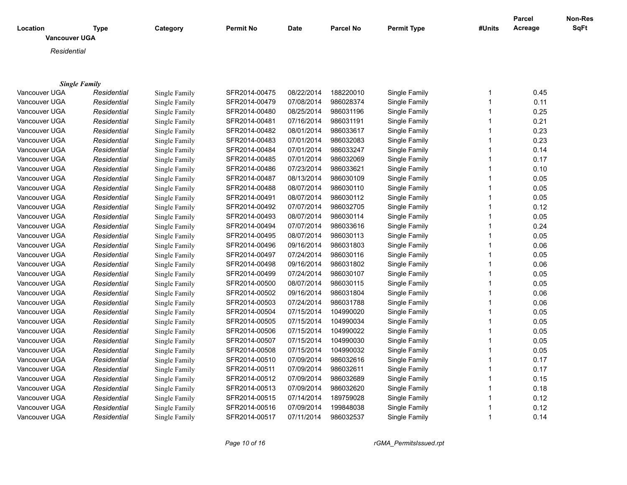|                                  |                      |               |               |             |                  |                    |                | Parcel  | Non-Res |
|----------------------------------|----------------------|---------------|---------------|-------------|------------------|--------------------|----------------|---------|---------|
| Location<br><b>Vancouver UGA</b> | <b>Type</b>          | Category      | Permit No     | <b>Date</b> | <b>Parcel No</b> | <b>Permit Type</b> | #Units         | Acreage | SqFt    |
|                                  |                      |               |               |             |                  |                    |                |         |         |
| Residential                      |                      |               |               |             |                  |                    |                |         |         |
|                                  |                      |               |               |             |                  |                    |                |         |         |
|                                  |                      |               |               |             |                  |                    |                |         |         |
|                                  | <b>Single Family</b> |               |               |             |                  |                    |                |         |         |
| Vancouver UGA                    | Residential          | Single Family | SFR2014-00475 | 08/22/2014  | 188220010        | Single Family      | 1              | 0.45    |         |
| Vancouver UGA                    | Residential          | Single Family | SFR2014-00479 | 07/08/2014  | 986028374        | Single Family      | $\mathbf{1}$   | 0.11    |         |
| Vancouver UGA                    | Residential          | Single Family | SFR2014-00480 | 08/25/2014  | 986031196        | Single Family      | $\mathbf{1}$   | 0.25    |         |
| Vancouver UGA                    | Residential          | Single Family | SFR2014-00481 | 07/16/2014  | 986031191        | Single Family      | $\mathbf{1}$   | 0.21    |         |
| Vancouver UGA                    | Residential          | Single Family | SFR2014-00482 | 08/01/2014  | 986033617        | Single Family      | $\mathbf{1}$   | 0.23    |         |
| Vancouver UGA                    | Residential          | Single Family | SFR2014-00483 | 07/01/2014  | 986032083        | Single Family      | $\mathbf{1}$   | 0.23    |         |
| Vancouver UGA                    | Residential          | Single Family | SFR2014-00484 | 07/01/2014  | 986033247        | Single Family      | $\mathbf{1}$   | 0.14    |         |
| Vancouver UGA                    | Residential          | Single Family | SFR2014-00485 | 07/01/2014  | 986032069        | Single Family      | $\mathbf{1}$   | 0.17    |         |
| Vancouver UGA                    | Residential          | Single Family | SFR2014-00486 | 07/23/2014  | 986033621        | Single Family      | $\mathbf{1}$   | 0.10    |         |
| Vancouver UGA                    | Residential          | Single Family | SFR2014-00487 | 08/13/2014  | 986030109        | Single Family      | $\mathbf{1}$   | 0.05    |         |
| Vancouver UGA                    | Residential          | Single Family | SFR2014-00488 | 08/07/2014  | 986030110        | Single Family      | $\mathbf{1}$   | 0.05    |         |
| Vancouver UGA                    | Residential          | Single Family | SFR2014-00491 | 08/07/2014  | 986030112        | Single Family      | $\overline{1}$ | 0.05    |         |
| Vancouver UGA                    | Residential          | Single Family | SFR2014-00492 | 07/07/2014  | 986032705        | Single Family      | $\mathbf{1}$   | 0.12    |         |
| Vancouver UGA                    | Residential          | Single Family | SFR2014-00493 | 08/07/2014  | 986030114        | Single Family      | $\mathbf{1}$   | 0.05    |         |
| Vancouver UGA                    | Residential          | Single Family | SFR2014-00494 | 07/07/2014  | 986033616        | Single Family      | $\mathbf{1}$   | 0.24    |         |
| Vancouver UGA                    | Residential          | Single Family | SFR2014-00495 | 08/07/2014  | 986030113        | Single Family      | $\mathbf{1}$   | 0.05    |         |
| Vancouver UGA                    | Residential          | Single Family | SFR2014-00496 | 09/16/2014  | 986031803        | Single Family      | $\mathbf{1}$   | 0.06    |         |
| Vancouver UGA                    | Residential          | Single Family | SFR2014-00497 | 07/24/2014  | 986030116        | Single Family      | $\mathbf{1}$   | 0.05    |         |
| Vancouver UGA                    | Residential          | Single Family | SFR2014-00498 | 09/16/2014  | 986031802        | Single Family      | $\mathbf{1}$   | 0.06    |         |
| Vancouver UGA                    | Residential          | Single Family | SFR2014-00499 | 07/24/2014  | 986030107        | Single Family      | $\mathbf{1}$   | 0.05    |         |
| Vancouver UGA                    | Residential          | Single Family | SFR2014-00500 | 08/07/2014  | 986030115        | Single Family      | $\mathbf{1}$   | 0.05    |         |
| Vancouver UGA                    | Residential          | Single Family | SFR2014-00502 | 09/16/2014  | 986031804        | Single Family      | $\mathbf{1}$   | 0.06    |         |
| Vancouver UGA                    | Residential          | Single Family | SFR2014-00503 | 07/24/2014  | 986031788        | Single Family      | $\mathbf{1}$   | 0.06    |         |
| Vancouver UGA                    | Residential          | Single Family | SFR2014-00504 | 07/15/2014  | 104990020        | Single Family      | $\mathbf{1}$   | 0.05    |         |
| Vancouver UGA                    | Residential          | Single Family | SFR2014-00505 | 07/15/2014  | 104990034        | Single Family      | $\mathbf{1}$   | 0.05    |         |
| Vancouver UGA                    | Residential          | Single Family | SFR2014-00506 | 07/15/2014  | 104990022        | Single Family      | $\mathbf{1}$   | 0.05    |         |
| Vancouver UGA                    | Residential          | Single Family | SFR2014-00507 | 07/15/2014  | 104990030        | Single Family      | $\mathbf{1}$   | 0.05    |         |
| Vancouver UGA                    | Residential          | Single Family | SFR2014-00508 | 07/15/2014  | 104990032        | Single Family      | $\mathbf{1}$   | 0.05    |         |
| Vancouver UGA                    | Residential          | Single Family | SFR2014-00510 | 07/09/2014  | 986032616        | Single Family      | $\mathbf{1}$   | 0.17    |         |
|                                  |                      |               |               | 07/09/2014  | 986032611        |                    | $\mathbf{1}$   | 0.17    |         |
| Vancouver UGA                    | Residential          | Single Family | SFR2014-00511 |             |                  | Single Family      | $\mathbf{1}$   |         |         |
| Vancouver UGA                    | Residential          | Single Family | SFR2014-00512 | 07/09/2014  | 986032689        | Single Family      | $\mathbf{1}$   | 0.15    |         |
| Vancouver UGA                    | Residential          | Single Family | SFR2014-00513 | 07/09/2014  | 986032620        | Single Family      |                | 0.18    |         |
| Vancouver UGA                    | Residential          | Single Family | SFR2014-00515 | 07/14/2014  | 189759028        | Single Family      | $\mathbf{1}$   | 0.12    |         |
| Vancouver UGA                    | Residential          | Single Family | SFR2014-00516 | 07/09/2014  | 199848038        | Single Family      | $\mathbf{1}$   | 0.12    |         |
| Vancouver UGA                    | Residential          | Single Family | SFR2014-00517 | 07/11/2014  | 986032537        | Single Family      | $\mathbf{1}$   | 0.14    |         |

*Page 10 of 16 rGMA\_PermitsIssued.rpt*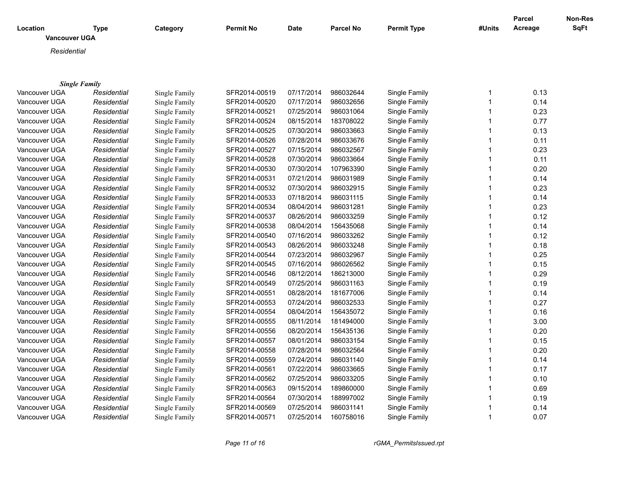|                                  |                                     |               |               |            |                  |                    |              | Parcel  | Non-Res |
|----------------------------------|-------------------------------------|---------------|---------------|------------|------------------|--------------------|--------------|---------|---------|
| Location<br><b>Vancouver UGA</b> | <b>Type</b>                         | Category      | Permit No     | Date       | <b>Parcel No</b> | <b>Permit Type</b> | #Units       | Acreage | SqFt    |
|                                  |                                     |               |               |            |                  |                    |              |         |         |
| Residential                      |                                     |               |               |            |                  |                    |              |         |         |
|                                  |                                     |               |               |            |                  |                    |              |         |         |
|                                  |                                     |               |               |            |                  |                    |              |         |         |
| Vancouver UGA                    | <b>Single Family</b><br>Residential | Single Family | SFR2014-00519 | 07/17/2014 | 986032644        | Single Family      | 1            | 0.13    |         |
| Vancouver UGA                    | Residential                         | Single Family | SFR2014-00520 | 07/17/2014 | 986032656        | Single Family      | $\mathbf{1}$ | 0.14    |         |
| Vancouver UGA                    | Residential                         | Single Family | SFR2014-00521 | 07/25/2014 | 986031064        | Single Family      | $\mathbf{1}$ | 0.23    |         |
| Vancouver UGA                    | Residential                         | Single Family | SFR2014-00524 | 08/15/2014 | 183708022        | Single Family      | $\mathbf{1}$ | 0.77    |         |
| Vancouver UGA                    | Residential                         | Single Family | SFR2014-00525 | 07/30/2014 | 986033663        | Single Family      | $\mathbf{1}$ | 0.13    |         |
| Vancouver UGA                    | Residential                         | Single Family | SFR2014-00526 | 07/28/2014 | 986033676        | Single Family      | 1            | 0.11    |         |
| Vancouver UGA                    | Residential                         | Single Family | SFR2014-00527 | 07/15/2014 | 986032567        | Single Family      | $\mathbf{1}$ | 0.23    |         |
| Vancouver UGA                    | Residential                         | Single Family | SFR2014-00528 | 07/30/2014 | 986033664        | Single Family      | $\mathbf{1}$ | 0.11    |         |
| Vancouver UGA                    | Residential                         | Single Family | SFR2014-00530 | 07/30/2014 | 107963390        | Single Family      | $\mathbf{1}$ | 0.20    |         |
| Vancouver UGA                    | Residential                         | Single Family | SFR2014-00531 | 07/21/2014 | 986031989        | Single Family      | $\mathbf{1}$ | 0.14    |         |
| Vancouver UGA                    | Residential                         | Single Family | SFR2014-00532 | 07/30/2014 | 986032915        | Single Family      | $\mathbf{1}$ | 0.23    |         |
| Vancouver UGA                    | Residential                         | Single Family | SFR2014-00533 | 07/18/2014 | 986031115        | Single Family      | $\mathbf{1}$ | 0.14    |         |
| Vancouver UGA                    | Residential                         | Single Family | SFR2014-00534 | 08/04/2014 | 986031281        | Single Family      | $\mathbf{1}$ | 0.23    |         |
| Vancouver UGA                    | Residential                         | Single Family | SFR2014-00537 | 08/26/2014 | 986033259        | Single Family      | 1            | 0.12    |         |
| Vancouver UGA                    | Residential                         | Single Family | SFR2014-00538 | 08/04/2014 | 156435068        | Single Family      | $\mathbf{1}$ | 0.14    |         |
| Vancouver UGA                    | Residential                         | Single Family | SFR2014-00540 | 07/16/2014 | 986033262        | Single Family      | $\mathbf{1}$ | 0.12    |         |
| Vancouver UGA                    | Residential                         | Single Family | SFR2014-00543 | 08/26/2014 | 986033248        | Single Family      | $\mathbf{1}$ | 0.18    |         |
| Vancouver UGA                    | Residential                         | Single Family | SFR2014-00544 | 07/23/2014 | 986032967        | Single Family      | $\mathbf{1}$ | 0.25    |         |
| Vancouver UGA                    | Residential                         | Single Family | SFR2014-00545 | 07/16/2014 | 986026562        | Single Family      | $\mathbf{1}$ | 0.15    |         |
| Vancouver UGA                    | Residential                         | Single Family | SFR2014-00546 | 08/12/2014 | 186213000        | Single Family      | $\mathbf{1}$ | 0.29    |         |
| Vancouver UGA                    | Residential                         | Single Family | SFR2014-00549 | 07/25/2014 | 986031163        | Single Family      | $\mathbf{1}$ | 0.19    |         |
| Vancouver UGA                    | Residential                         | Single Family | SFR2014-00551 | 08/28/2014 | 181677006        | Single Family      | $\mathbf{1}$ | 0.14    |         |
| Vancouver UGA                    | Residential                         | Single Family | SFR2014-00553 | 07/24/2014 | 986032533        | Single Family      | $\mathbf{1}$ | 0.27    |         |
| Vancouver UGA                    | Residential                         | Single Family | SFR2014-00554 | 08/04/2014 | 156435072        | Single Family      | $\mathbf{1}$ | 0.16    |         |
| Vancouver UGA                    | Residential                         | Single Family | SFR2014-00555 | 08/11/2014 | 181494000        | Single Family      | $\mathbf{1}$ | 3.00    |         |
| Vancouver UGA                    | Residential                         | Single Family | SFR2014-00556 | 08/20/2014 | 156435136        | Single Family      | $\mathbf{1}$ | 0.20    |         |
| Vancouver UGA                    | Residential                         | Single Family | SFR2014-00557 | 08/01/2014 | 986033154        | Single Family      | $\mathbf{1}$ | 0.15    |         |
| Vancouver UGA                    | Residential                         | Single Family | SFR2014-00558 | 07/28/2014 | 986032564        | Single Family      | $\mathbf{1}$ | 0.20    |         |
| Vancouver UGA                    | Residential                         | Single Family | SFR2014-00559 | 07/24/2014 | 986031140        | Single Family      | $\mathbf{1}$ | 0.14    |         |
| Vancouver UGA                    | Residential                         |               | SFR2014-00561 | 07/22/2014 | 986033665        | Single Family      | $\mathbf{1}$ | 0.17    |         |
|                                  |                                     | Single Family | SFR2014-00562 | 07/25/2014 | 986033205        |                    | 1            | 0.10    |         |
| Vancouver UGA                    | Residential                         | Single Family |               | 09/15/2014 |                  | Single Family      | $\mathbf{1}$ | 0.69    |         |
| Vancouver UGA                    | Residential                         | Single Family | SFR2014-00563 | 07/30/2014 | 189860000        | Single Family      | $\mathbf{1}$ |         |         |
| Vancouver UGA                    | Residential                         | Single Family | SFR2014-00564 |            | 188997002        | Single Family      | 1            | 0.19    |         |
| Vancouver UGA                    | Residential                         | Single Family | SFR2014-00569 | 07/25/2014 | 986031141        | Single Family      |              | 0.14    |         |
| Vancouver UGA                    | Residential                         | Single Family | SFR2014-00571 | 07/25/2014 | 160758016        | Single Family      | $\mathbf{1}$ | 0.07    |         |

*Page 11 of 16 rGMA\_PermitsIssued.rpt*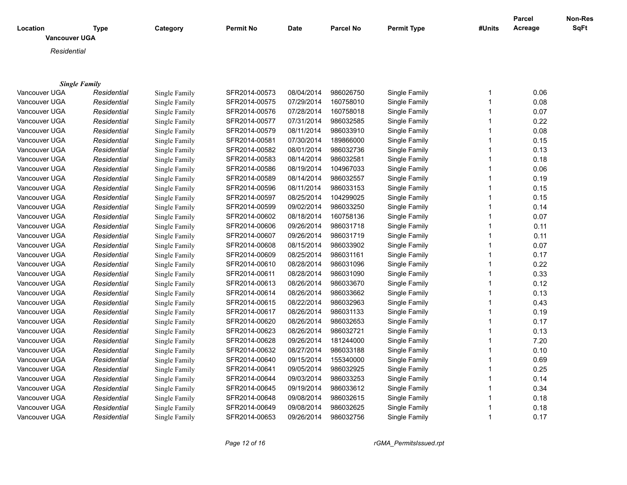|                      |                      |               |               |             |                  |                    |              | Parcel  | Non-Res |
|----------------------|----------------------|---------------|---------------|-------------|------------------|--------------------|--------------|---------|---------|
| Location             | <b>Type</b>          | Category      | Permit No     | <b>Date</b> | <b>Parcel No</b> | <b>Permit Type</b> | #Units       | Acreage | SqFt    |
| <b>Vancouver UGA</b> |                      |               |               |             |                  |                    |              |         |         |
| Residential          |                      |               |               |             |                  |                    |              |         |         |
|                      |                      |               |               |             |                  |                    |              |         |         |
|                      |                      |               |               |             |                  |                    |              |         |         |
|                      | <b>Single Family</b> |               |               |             |                  |                    |              |         |         |
| Vancouver UGA        | Residential          | Single Family | SFR2014-00573 | 08/04/2014  | 986026750        | Single Family      | 1            | 0.06    |         |
| Vancouver UGA        | Residential          | Single Family | SFR2014-00575 | 07/29/2014  | 160758010        | Single Family      | $\mathbf{1}$ | 0.08    |         |
| Vancouver UGA        | Residential          | Single Family | SFR2014-00576 | 07/28/2014  | 160758018        | Single Family      | $\mathbf{1}$ | 0.07    |         |
| Vancouver UGA        | Residential          | Single Family | SFR2014-00577 | 07/31/2014  | 986032585        | Single Family      | $\mathbf{1}$ | 0.22    |         |
| Vancouver UGA        | Residential          | Single Family | SFR2014-00579 | 08/11/2014  | 986033910        | Single Family      | $\mathbf{1}$ | 0.08    |         |
| Vancouver UGA        | Residential          | Single Family | SFR2014-00581 | 07/30/2014  | 189866000        | Single Family      | $\mathbf{1}$ | 0.15    |         |
| Vancouver UGA        | Residential          | Single Family | SFR2014-00582 | 08/01/2014  | 986032736        | Single Family      | $\mathbf{1}$ | 0.13    |         |
| Vancouver UGA        | Residential          | Single Family | SFR2014-00583 | 08/14/2014  | 986032581        | Single Family      | $\mathbf{1}$ | 0.18    |         |
| Vancouver UGA        | Residential          | Single Family | SFR2014-00586 | 08/19/2014  | 104967033        | Single Family      | $\mathbf{1}$ | 0.06    |         |
| Vancouver UGA        | Residential          | Single Family | SFR2014-00589 | 08/14/2014  | 986032557        | Single Family      | $\mathbf{1}$ | 0.19    |         |
| Vancouver UGA        | Residential          | Single Family | SFR2014-00596 | 08/11/2014  | 986033153        | Single Family      | $\mathbf{1}$ | 0.15    |         |
| Vancouver UGA        | Residential          | Single Family | SFR2014-00597 | 08/25/2014  | 104299025        | Single Family      | $\mathbf{1}$ | 0.15    |         |
| Vancouver UGA        | Residential          | Single Family | SFR2014-00599 | 09/02/2014  | 986033250        | Single Family      | $\mathbf{1}$ | 0.14    |         |
| Vancouver UGA        | Residential          | Single Family | SFR2014-00602 | 08/18/2014  | 160758136        | Single Family      | $\mathbf{1}$ | 0.07    |         |
| Vancouver UGA        | Residential          | Single Family | SFR2014-00606 | 09/26/2014  | 986031718        | Single Family      | $\mathbf{1}$ | 0.11    |         |
| Vancouver UGA        | Residential          | Single Family | SFR2014-00607 | 09/26/2014  | 986031719        | Single Family      | 1            | 0.11    |         |
| Vancouver UGA        | Residential          | Single Family | SFR2014-00608 | 08/15/2014  | 986033902        | Single Family      | $\mathbf{1}$ | 0.07    |         |
| Vancouver UGA        | Residential          | Single Family | SFR2014-00609 | 08/25/2014  | 986031161        | Single Family      | $\mathbf{1}$ | 0.17    |         |
| Vancouver UGA        | Residential          | Single Family | SFR2014-00610 | 08/28/2014  | 986031096        | Single Family      | $\mathbf{1}$ | 0.22    |         |
| Vancouver UGA        | Residential          | Single Family | SFR2014-00611 | 08/28/2014  | 986031090        | Single Family      | 1            | 0.33    |         |
| Vancouver UGA        | Residential          | Single Family | SFR2014-00613 | 08/26/2014  | 986033670        | Single Family      | $\mathbf{1}$ | 0.12    |         |
| Vancouver UGA        | Residential          | Single Family | SFR2014-00614 | 08/26/2014  | 986033662        | Single Family      | 1            | 0.13    |         |
| Vancouver UGA        | Residential          | Single Family | SFR2014-00615 | 08/22/2014  | 986032963        | Single Family      | 1            | 0.43    |         |
| Vancouver UGA        | Residential          | Single Family | SFR2014-00617 | 08/26/2014  | 986031133        | Single Family      | $\mathbf{1}$ | 0.19    |         |
| Vancouver UGA        | Residential          | Single Family | SFR2014-00620 | 08/26/2014  | 986032653        | Single Family      | $\mathbf{1}$ | 0.17    |         |
| Vancouver UGA        | Residential          | Single Family | SFR2014-00623 | 08/26/2014  | 986032721        | Single Family      | $\mathbf{1}$ | 0.13    |         |
| Vancouver UGA        | Residential          | Single Family | SFR2014-00628 | 09/26/2014  | 181244000        | Single Family      | $\mathbf{1}$ | 7.20    |         |
| Vancouver UGA        | Residential          | Single Family | SFR2014-00632 | 08/27/2014  | 986033188        | Single Family      | $\mathbf{1}$ | 0.10    |         |
| Vancouver UGA        | Residential          | Single Family | SFR2014-00640 | 09/15/2014  | 155340000        | Single Family      | $\mathbf{1}$ | 0.69    |         |
| Vancouver UGA        | Residential          | Single Family | SFR2014-00641 | 09/05/2014  | 986032925        | Single Family      | $\mathbf{1}$ | 0.25    |         |
| Vancouver UGA        | Residential          | Single Family | SFR2014-00644 | 09/03/2014  | 986033253        | Single Family      | $\mathbf{1}$ | 0.14    |         |
| Vancouver UGA        | Residential          | Single Family | SFR2014-00645 | 09/19/2014  | 986033612        | Single Family      | $\mathbf{1}$ | 0.34    |         |
| Vancouver UGA        | Residential          | Single Family | SFR2014-00648 | 09/08/2014  | 986032615        | Single Family      | $\mathbf{1}$ | 0.18    |         |
| Vancouver UGA        | Residential          | Single Family | SFR2014-00649 | 09/08/2014  | 986032625        | Single Family      | $\mathbf{1}$ | 0.18    |         |
|                      |                      |               | SFR2014-00653 | 09/26/2014  | 986032756        |                    | $\mathbf{1}$ |         |         |
| Vancouver UGA        | Residential          | Single Family |               |             |                  | Single Family      |              | 0.17    |         |

*Page 12 of 16 rGMA\_PermitsIssued.rpt*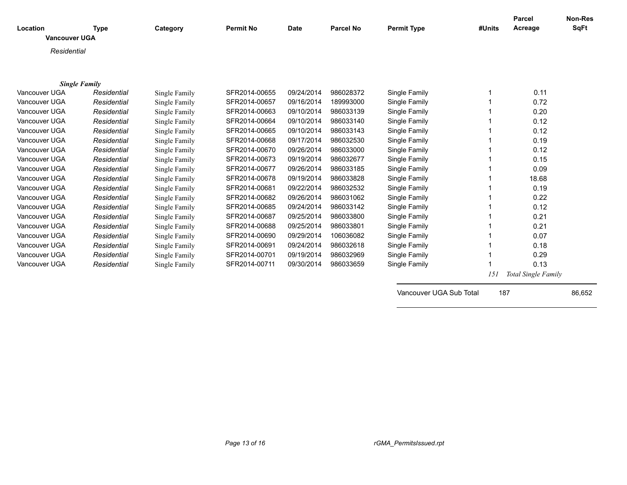| Location<br><b>Vancouver UGA</b> | <b>Type</b> | Category      | <b>Permit No</b> | <b>Date</b> | <b>Parcel No</b> | <b>Permit Type</b>      | #Units | Parcel<br>Acreage   | <b>Non-Res</b><br><b>SqFt</b> |
|----------------------------------|-------------|---------------|------------------|-------------|------------------|-------------------------|--------|---------------------|-------------------------------|
| Residential                      |             |               |                  |             |                  |                         |        |                     |                               |
|                                  |             |               |                  |             |                  |                         |        |                     |                               |
| <b>Single Family</b>             |             |               |                  |             |                  |                         |        |                     |                               |
| Vancouver UGA                    | Residential | Single Family | SFR2014-00655    | 09/24/2014  | 986028372        | Single Family           |        | 0.11                |                               |
| Vancouver UGA                    | Residential | Single Family | SFR2014-00657    | 09/16/2014  | 189993000        | Single Family           |        | 0.72                |                               |
| Vancouver UGA                    | Residential | Single Family | SFR2014-00663    | 09/10/2014  | 986033139        | Single Family           |        | 0.20                |                               |
| Vancouver UGA                    | Residential | Single Family | SFR2014-00664    | 09/10/2014  | 986033140        | Single Family           |        | 0.12                |                               |
| Vancouver UGA                    | Residential | Single Family | SFR2014-00665    | 09/10/2014  | 986033143        | Single Family           |        | 0.12                |                               |
| Vancouver UGA                    | Residential | Single Family | SFR2014-00668    | 09/17/2014  | 986032530        | Single Family           |        | 0.19                |                               |
| Vancouver UGA                    | Residential | Single Family | SFR2014-00670    | 09/26/2014  | 986033000        | Single Family           |        | 0.12                |                               |
| Vancouver UGA                    | Residential | Single Family | SFR2014-00673    | 09/19/2014  | 986032677        | Single Family           |        | 0.15                |                               |
| Vancouver UGA                    | Residential | Single Family | SFR2014-00677    | 09/26/2014  | 986033185        | Single Family           |        | 0.09                |                               |
| Vancouver UGA                    | Residential | Single Family | SFR2014-00678    | 09/19/2014  | 986033828        | Single Family           |        | 18.68               |                               |
| Vancouver UGA                    | Residential | Single Family | SFR2014-00681    | 09/22/2014  | 986032532        | Single Family           |        | 0.19                |                               |
| Vancouver UGA                    | Residential | Single Family | SFR2014-00682    | 09/26/2014  | 986031062        | Single Family           |        | 0.22                |                               |
| Vancouver UGA                    | Residential | Single Family | SFR2014-00685    | 09/24/2014  | 986033142        | Single Family           |        | 0.12                |                               |
| Vancouver UGA                    | Residential | Single Family | SFR2014-00687    | 09/25/2014  | 986033800        | Single Family           |        | 0.21                |                               |
| Vancouver UGA                    | Residential | Single Family | SFR2014-00688    | 09/25/2014  | 986033801        | Single Family           |        | 0.21                |                               |
| Vancouver UGA                    | Residential | Single Family | SFR2014-00690    | 09/29/2014  | 106036082        | Single Family           |        | 0.07                |                               |
| Vancouver UGA                    | Residential | Single Family | SFR2014-00691    | 09/24/2014  | 986032618        | Single Family           |        | 0.18                |                               |
| Vancouver UGA                    | Residential | Single Family | SFR2014-00701    | 09/19/2014  | 986032969        | Single Family           |        | 0.29                |                               |
| Vancouver UGA                    | Residential | Single Family | SFR2014-00711    | 09/30/2014  | 986033659        | Single Family           |        | 0.13                |                               |
|                                  |             |               |                  |             |                  |                         | 151    | Total Single Family |                               |
|                                  |             |               |                  |             |                  | Vancouver UGA Sub Total | 187    |                     | 86,652                        |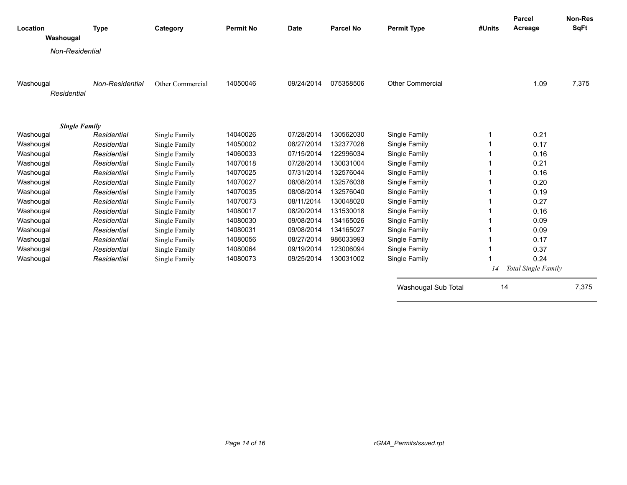| Location             | <b>Type</b>     | Category         | <b>Permit No</b> | <b>Date</b> | <b>Parcel No</b> | <b>Permit Type</b>      | #Units | <b>Parcel</b><br>Acreage | <b>Non-Res</b><br><b>SqFt</b> |
|----------------------|-----------------|------------------|------------------|-------------|------------------|-------------------------|--------|--------------------------|-------------------------------|
| Washougal            |                 |                  |                  |             |                  |                         |        |                          |                               |
| Non-Residential      |                 |                  |                  |             |                  |                         |        |                          |                               |
|                      |                 |                  |                  |             |                  |                         |        |                          |                               |
| Washougal            | Non-Residential | Other Commercial | 14050046         | 09/24/2014  | 075358506        | <b>Other Commercial</b> |        | 1.09                     | 7,375                         |
| Residential          |                 |                  |                  |             |                  |                         |        |                          |                               |
|                      |                 |                  |                  |             |                  |                         |        |                          |                               |
|                      |                 |                  |                  |             |                  |                         |        |                          |                               |
| <b>Single Family</b> |                 |                  |                  |             |                  |                         |        |                          |                               |
| Washougal            | Residential     | Single Family    | 14040026         | 07/28/2014  | 130562030        | Single Family           |        | 0.21                     |                               |
| Washougal            | Residential     | Single Family    | 14050002         | 08/27/2014  | 132377026        | Single Family           |        | 0.17                     |                               |
| Washougal            | Residential     | Single Family    | 14060033         | 07/15/2014  | 122996034        | Single Family           |        | 0.16                     |                               |
| Washougal            | Residential     | Single Family    | 14070018         | 07/28/2014  | 130031004        | Single Family           |        | 0.21                     |                               |
| Washougal            | Residential     | Single Family    | 14070025         | 07/31/2014  | 132576044        | Single Family           |        | 0.16                     |                               |
| Washougal            | Residential     | Single Family    | 14070027         | 08/08/2014  | 132576038        | Single Family           |        | 0.20                     |                               |
| Washougal            | Residential     | Single Family    | 14070035         | 08/08/2014  | 132576040        | Single Family           |        | 0.19                     |                               |
| Washougal            | Residential     | Single Family    | 14070073         | 08/11/2014  | 130048020        | Single Family           |        | 0.27                     |                               |
| Washougal            | Residential     | Single Family    | 14080017         | 08/20/2014  | 131530018        | Single Family           |        | 0.16                     |                               |
| Washougal            | Residential     | Single Family    | 14080030         | 09/08/2014  | 134165026        | Single Family           |        | 0.09                     |                               |
| Washougal            | Residential     | Single Family    | 14080031         | 09/08/2014  | 134165027        | Single Family           |        | 0.09                     |                               |
| Washougal            | Residential     | Single Family    | 14080056         | 08/27/2014  | 986033993        | Single Family           |        | 0.17                     |                               |
| Washougal            | Residential     | Single Family    | 14080064         | 09/19/2014  | 123006094        | Single Family           |        | 0.37                     |                               |
| Washougal            | Residential     | Single Family    | 14080073         | 09/25/2014  | 130031002        | Single Family           |        | 0.24                     |                               |
|                      |                 |                  |                  |             |                  |                         | 14     | Total Single Family      |                               |
|                      |                 |                  |                  |             |                  | Washougal Sub Total     | 14     |                          | 7,375                         |
|                      |                 |                  |                  |             |                  |                         |        |                          |                               |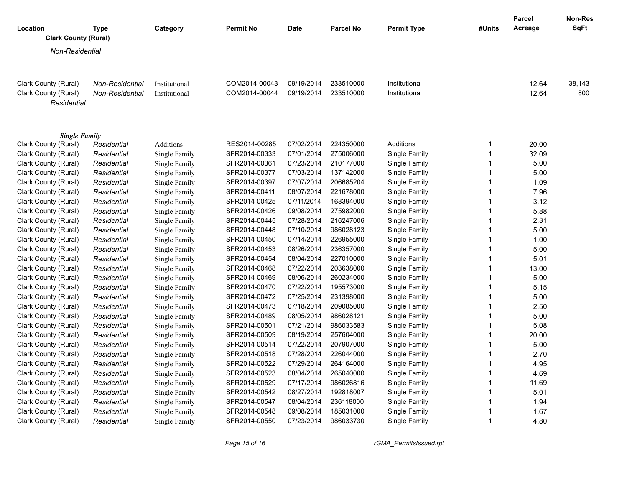| Location                            | Type            | Category         | <b>Permit No</b> | <b>Date</b> | <b>Parcel No</b> | <b>Permit Type</b> | #Units         | <b>Parcel</b><br>Acreage | <b>Non-Res</b><br><b>SqFt</b> |
|-------------------------------------|-----------------|------------------|------------------|-------------|------------------|--------------------|----------------|--------------------------|-------------------------------|
| <b>Clark County (Rural)</b>         |                 |                  |                  |             |                  |                    |                |                          |                               |
| Non-Residential                     |                 |                  |                  |             |                  |                    |                |                          |                               |
| Clark County (Rural)                | Non-Residential | Institutional    | COM2014-00043    | 09/19/2014  | 233510000        | Institutional      |                | 12.64                    | 38,143                        |
| Clark County (Rural)<br>Residential | Non-Residential | Institutional    | COM2014-00044    | 09/19/2014  | 233510000        | Institutional      |                | 12.64                    | 800                           |
| <b>Single Family</b>                |                 |                  |                  |             |                  |                    |                |                          |                               |
| Clark County (Rural)                | Residential     | <b>Additions</b> | RES2014-00285    | 07/02/2014  | 224350000        | Additions          | $\mathbf 1$    | 20.00                    |                               |
| Clark County (Rural)                | Residential     | Single Family    | SFR2014-00333    | 07/01/2014  | 275006000        | Single Family      | $\mathbf{1}$   | 32.09                    |                               |
| Clark County (Rural)                | Residential     | Single Family    | SFR2014-00361    | 07/23/2014  | 210177000        | Single Family      | $\mathbf{1}$   | 5.00                     |                               |
| Clark County (Rural)                | Residential     | Single Family    | SFR2014-00377    | 07/03/2014  | 137142000        | Single Family      | $\mathbf 1$    | 5.00                     |                               |
| Clark County (Rural)                | Residential     | Single Family    | SFR2014-00397    | 07/07/2014  | 206685204        | Single Family      | $\mathbf{1}$   | 1.09                     |                               |
| Clark County (Rural)                | Residential     | Single Family    | SFR2014-00411    | 08/07/2014  | 221678000        | Single Family      | $\mathbf{1}$   | 7.96                     |                               |
| Clark County (Rural)                | Residential     | Single Family    | SFR2014-00425    | 07/11/2014  | 168394000        | Single Family      | $\mathbf{1}$   | 3.12                     |                               |
| Clark County (Rural)                | Residential     | Single Family    | SFR2014-00426    | 09/08/2014  | 275982000        | Single Family      | $\mathbf{1}$   | 5.88                     |                               |
| Clark County (Rural)                | Residential     | Single Family    | SFR2014-00445    | 07/28/2014  | 216247006        | Single Family      | $\mathbf 1$    | 2.31                     |                               |
| Clark County (Rural)                | Residential     | Single Family    | SFR2014-00448    | 07/10/2014  | 986028123        | Single Family      | $\overline{1}$ | 5.00                     |                               |
| Clark County (Rural)                | Residential     | Single Family    | SFR2014-00450    | 07/14/2014  | 226955000        | Single Family      | 1              | 1.00                     |                               |
| Clark County (Rural)                | Residential     | Single Family    | SFR2014-00453    | 08/26/2014  | 236357000        | Single Family      | $\mathbf{1}$   | 5.00                     |                               |
| Clark County (Rural)                | Residential     | Single Family    | SFR2014-00454    | 08/04/2014  | 227010000        | Single Family      | $\mathbf{1}$   | 5.01                     |                               |
| Clark County (Rural)                | Residential     | Single Family    | SFR2014-00468    | 07/22/2014  | 203638000        | Single Family      | $\mathbf{1}$   | 13.00                    |                               |
| Clark County (Rural)                | Residential     | Single Family    | SFR2014-00469    | 08/06/2014  | 260234000        | Single Family      | $\mathbf{1}$   | 5.00                     |                               |
| Clark County (Rural)                | Residential     | Single Family    | SFR2014-00470    | 07/22/2014  | 195573000        | Single Family      | $\mathbf 1$    | 5.15                     |                               |
| Clark County (Rural)                | Residential     | Single Family    | SFR2014-00472    | 07/25/2014  | 231398000        | Single Family      | $\mathbf{1}$   | 5.00                     |                               |
| Clark County (Rural)                | Residential     | Single Family    | SFR2014-00473    | 07/18/2014  | 209085000        | Single Family      | $\mathbf 1$    | 2.50                     |                               |
| Clark County (Rural)                | Residential     | Single Family    | SFR2014-00489    | 08/05/2014  | 986028121        | Single Family      | $\mathbf{1}$   | 5.00                     |                               |
| Clark County (Rural)                | Residential     | Single Family    | SFR2014-00501    | 07/21/2014  | 986033583        | Single Family      | $\mathbf{1}$   | 5.08                     |                               |
| Clark County (Rural)                | Residential     | Single Family    | SFR2014-00509    | 08/19/2014  | 257604000        | Single Family      | $\mathbf{1}$   | 20.00                    |                               |
| Clark County (Rural)                | Residential     | Single Family    | SFR2014-00514    | 07/22/2014  | 207907000        | Single Family      | $\mathbf 1$    | 5.00                     |                               |
| Clark County (Rural)                | Residential     | Single Family    | SFR2014-00518    | 07/28/2014  | 226044000        | Single Family      | $\mathbf 1$    | 2.70                     |                               |
| Clark County (Rural)                | Residential     | Single Family    | SFR2014-00522    | 07/29/2014  | 264164000        | Single Family      | $\mathbf{1}$   | 4.95                     |                               |
| Clark County (Rural)                | Residential     | Single Family    | SFR2014-00523    | 08/04/2014  | 265040000        | Single Family      | $\mathbf 1$    | 4.69                     |                               |
| Clark County (Rural)                | Residential     | Single Family    | SFR2014-00529    | 07/17/2014  | 986026816        | Single Family      | $\mathbf{1}$   | 11.69                    |                               |
| Clark County (Rural)                | Residential     | Single Family    | SFR2014-00542    | 08/27/2014  | 192818007        | Single Family      | $\mathbf 1$    | 5.01                     |                               |
| Clark County (Rural)                | Residential     | Single Family    | SFR2014-00547    | 08/04/2014  | 236118000        | Single Family      | $\mathbf{1}$   | 1.94                     |                               |
| Clark County (Rural)                | Residential     | Single Family    | SFR2014-00548    | 09/08/2014  | 185031000        | Single Family      | 1              | 1.67                     |                               |
| Clark County (Rural)                | Residential     | Single Family    | SFR2014-00550    | 07/23/2014  | 986033730        | Single Family      | $\mathbf 1$    | 4.80                     |                               |

*Page 15 of 16 rGMA\_PermitsIssued.rpt*